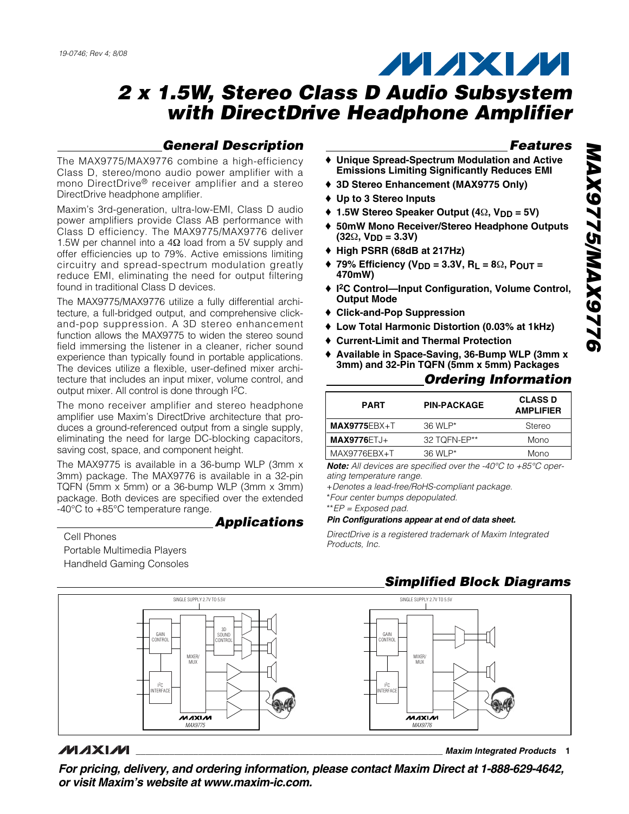# **MAXM**

# **2 x 1.5W, Stereo Class D Audio Subsystem with DirectDrive Headphone Amplifier**

## **General Description**

The MAX9775/MAX9776 combine a high-efficiency Class D, stereo/mono audio power amplifier with a mono DirectDrive® receiver amplifier and a stereo DirectDrive headphone amplifier.

Maxim's 3rd-generation, ultra-low-EMI, Class D audio power amplifiers provide Class AB performance with Class D efficiency. The MAX9775/MAX9776 deliver 1.5W per channel into a 4Ω load from a 5V supply and offer efficiencies up to 79%. Active emissions limiting circuitry and spread-spectrum modulation greatly reduce EMI, eliminating the need for output filtering found in traditional Class D devices.

The MAX9775/MAX9776 utilize a fully differential architecture, a full-bridged output, and comprehensive clickand-pop suppression. A 3D stereo enhancement function allows the MAX9775 to widen the stereo sound field immersing the listener in a cleaner, richer sound experience than typically found in portable applications. The devices utilize a flexible, user-defined mixer architecture that includes an input mixer, volume control, and output mixer. All control is done through I2C.

The mono receiver amplifier and stereo headphone amplifier use Maxim's DirectDrive architecture that produces a ground-referenced output from a single supply, eliminating the need for large DC-blocking capacitors, saving cost, space, and component height.

The MAX9775 is available in a 36-bump WLP (3mm x 3mm) package. The MAX9776 is available in a 32-pin TQFN (5mm x 5mm) or a 36-bump WLP (3mm x 3mm) package. Both devices are specified over the extended -40°C to +85°C temperature range.

**Applications**

Cell Phones Portable Multimedia Players Handheld Gaming Consoles

## **Features**

- ♦ **Unique Spread-Spectrum Modulation and Active Emissions Limiting Significantly Reduces EMI**
- ♦ **3D Stereo Enhancement (MAX9775 Only)**
- ♦ **Up to 3 Stereo Inputs**
- ♦ **1.5W Stereo Speaker Output (4**Ω**, VDD = 5V)**
- ♦ **50mW Mono Receiver/Stereo Headphone Outputs (32**Ω**, VDD = 3.3V)**
- ♦ **High PSRR (68dB at 217Hz)**
- ♦ **79% Efficiency (VDD = 3.3V, RL = 8**Ω**, POUT = 470mW)**
- ♦ **I2C Control—Input Configuration, Volume Control, Output Mode**
- ♦ **Click-and-Pop Suppression**
- ♦ **Low Total Harmonic Distortion (0.03% at 1kHz)**
- ♦ **Current-Limit and Thermal Protection**
- ♦ **Available in Space-Saving, 36-Bump WLP (3mm x 3mm) and 32-Pin TQFN (5mm x 5mm) Packages**

## **Ordering Information**

| <b>PART</b>        | <b>PIN-PACKAGE</b> | <b>CLASS D</b><br><b>AMPLIFIER</b> |
|--------------------|--------------------|------------------------------------|
| $MAX9775EBX+T$     | 36 WLP*            | Stereo                             |
| <b>MAX9776ETJ+</b> | 32 TOFN-EP**       | Mono                               |
| MAX9776EBX+T       | 36 WLP*            | Mono                               |

**Note:** All devices are specified over the -40°C to +85°C operating temperature range.

+Denotes a lead-free/RoHS-compliant package.

\*Four center bumps depopulated.

\*\*EP = Exposed pad.

#### **Pin Configurations appear at end of data sheet.**

DirectDrive is a registered trademark of Maxim Integrated Products, Inc.



## **MAXIM**

**\_\_\_\_\_\_\_\_\_\_\_\_\_\_\_\_\_\_\_\_\_\_\_\_\_\_\_\_\_\_\_\_\_\_\_\_\_\_\_\_\_\_\_\_\_\_\_\_\_\_\_\_\_\_\_\_\_\_\_\_\_\_\_\_ Maxim Integrated Products 1**

**For pricing, delivery, and ordering information, please contact Maxim Direct at 1-888-629-4642, or visit Maxim's website at www.maxim-ic.com.**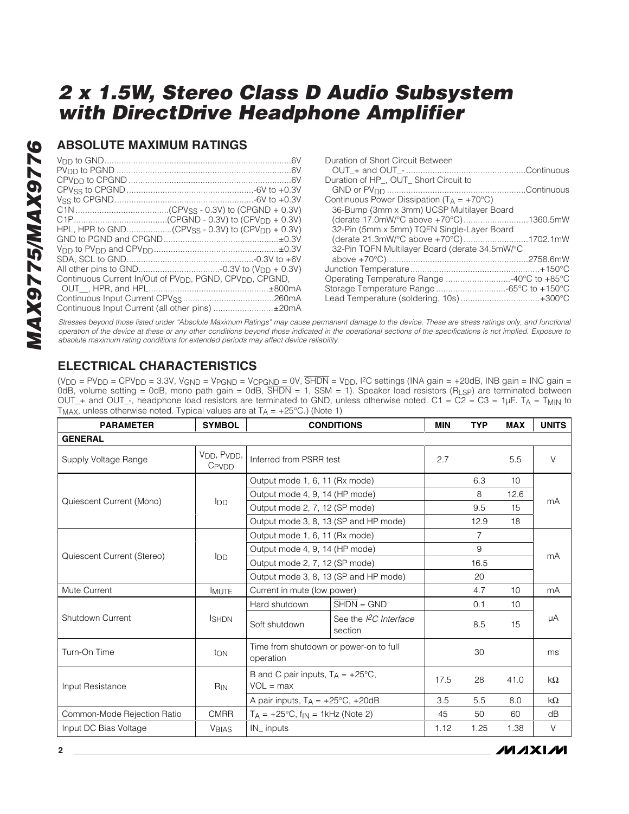## **ABSOLUTE MAXIMUM RATINGS**

| HPL, HPR to GND(CPV <sub>SS</sub> - 0.3V) to (CPV <sub>DD</sub> + 0.3V)          |  |
|----------------------------------------------------------------------------------|--|
|                                                                                  |  |
|                                                                                  |  |
|                                                                                  |  |
|                                                                                  |  |
| Continuous Current In/Out of PV <sub>DD</sub> , PGND, CPV <sub>DD</sub> , CPGND, |  |
|                                                                                  |  |
|                                                                                  |  |
| Continuous Input Current (all other pins) ±20mA                                  |  |

| Duration of Short Circuit Between                     |  |
|-------------------------------------------------------|--|
|                                                       |  |
| Duration of HP_, OUT_ Short Circuit to                |  |
|                                                       |  |
| Continuous Power Dissipation ( $T_A = +70^{\circ}C$ ) |  |
| 36-Bump (3mm x 3mm) UCSP Multilayer Board             |  |
| (derate 17.0mW/°C above +70°C)1360.5mW                |  |
| 32-Pin (5mm x 5mm) TQFN Single-Layer Board            |  |
| (derate 21.3mW/°C above +70°C)1702.1mW                |  |
| 32-Pin TQFN Multilayer Board (derate 34.5mW/°C        |  |
|                                                       |  |
|                                                       |  |
| Operating Temperature Range 40°C to +85°C             |  |
| Storage Temperature Range -65°C to +150°C             |  |
| Lead Temperature (soldering, 10s)+300°C               |  |
|                                                       |  |

Stresses beyond those listed under "Absolute Maximum Ratings" may cause permanent damage to the device. These are stress ratings only, and functional operation of the device at these or any other conditions beyond those indicated in the operational sections of the specifications is not implied. Exposure to absolute maximum rating conditions for extended periods may affect device reliability.

## **ELECTRICAL CHARACTERISTICS**

(V<sub>DD</sub> = PV<sub>DD</sub> = CPV<sub>DD</sub> = 3.3V, V<sub>GND</sub> = V<sub>PGND</sub> = V<sub>CPGND</sub> = 0V, SHDN = V<sub>DD</sub>, I<sup>2</sup>C settings (INA gain = +20dB, INB gain = INC gain = 0dB, volume setting = 0dB, mono path gain = 0dB, SHDN = 1, SSM = 1). Speaker load resistors (RLSP) are terminated between OUT\_+ and OUT\_-, headphone load resistors are terminated to GND, unless otherwise noted. C1 = C2 = C3 = 1µF. T<sub>A</sub> = T<sub>MIN</sub> to T<sub>MAX</sub>, unless otherwise noted. Typical values are at  $T_A = +25^{\circ}C$ .) (Note 1)

| <b>PARAMETER</b>            | <b>SYMBOL</b>                                 |                                                            | <b>CONDITIONS</b>                     | <b>MIN</b> | <b>TYP</b> | <b>MAX</b>      | <b>UNITS</b> |
|-----------------------------|-----------------------------------------------|------------------------------------------------------------|---------------------------------------|------------|------------|-----------------|--------------|
| <b>GENERAL</b>              |                                               |                                                            |                                       |            |            |                 |              |
| Supply Voltage Range        | V <sub>DD</sub> , P <sub>VDD</sub> ,<br>CPVDD | Inferred from PSRR test                                    | 2.7                                   |            | 5.5        | $\vee$          |              |
|                             |                                               | Output mode 1, 6, 11 (Rx mode)                             |                                       |            | 6.3        | 10 <sup>1</sup> |              |
| Quiescent Current (Mono)    | <b>I</b> DD                                   | Output mode 4, 9, 14 (HP mode)                             |                                       |            | 8          | 12.6            | mA           |
|                             |                                               | Output mode 2, 7, 12 (SP mode)                             |                                       |            | 9.5        | 15              |              |
|                             |                                               | Output mode 3, 8, 13 (SP and HP mode)                      |                                       |            | 12.9       | 18              |              |
|                             |                                               | Output mode 1, 6, 11 (Rx mode)                             |                                       |            | 7          |                 |              |
| Quiescent Current (Stereo)  |                                               | Output mode 4, 9, 14 (HP mode)                             |                                       |            | 9          |                 |              |
|                             | <b>I</b> DD                                   | Output mode 2, 7, 12 (SP mode)                             |                                       |            | 16.5       |                 | mA           |
|                             |                                               | Output mode 3, 8, 13 (SP and HP mode)                      |                                       |            | 20         |                 |              |
| Mute Current                | <b>IMUTE</b>                                  | Current in mute (low power)                                |                                       |            | 4.7        | 10              | mA           |
|                             |                                               | Hard shutdown                                              | $\overline{\text{SHDN}} = \text{GND}$ |            | 0.1        | 10              |              |
| Shutdown Current            | <b>ISHDN</b>                                  | See the $l^2C$ Interface<br>Soft shutdown<br>section       |                                       |            | 8.5        | 15              | μA           |
| Turn-On Time                | ton                                           | Time from shutdown or power-on to full<br>operation        |                                       |            | 30         |                 | ms           |
| Input Resistance            | R <sub>IN</sub>                               | B and C pair inputs, $T_A = +25^{\circ}C$ ,<br>$VOL = max$ |                                       | 17.5       | 28         | 41.0            | $k\Omega$    |
|                             |                                               | A pair inputs, $T_A = +25^{\circ}C$ , $+20dB$              |                                       | 3.5        | 5.5        | 8.0             | $k\Omega$    |
| Common-Mode Rejection Ratio | <b>CMRR</b>                                   | $T_A = +25^{\circ}C$ , $f_{IN} = 1$ kHz (Note 2)           |                                       | 45         | 50         | 60              | dB           |
| Input DC Bias Voltage       | <b>VBIAS</b>                                  | IN inputs                                                  |                                       | 1.12       | 1.25       | 1.38            | V            |

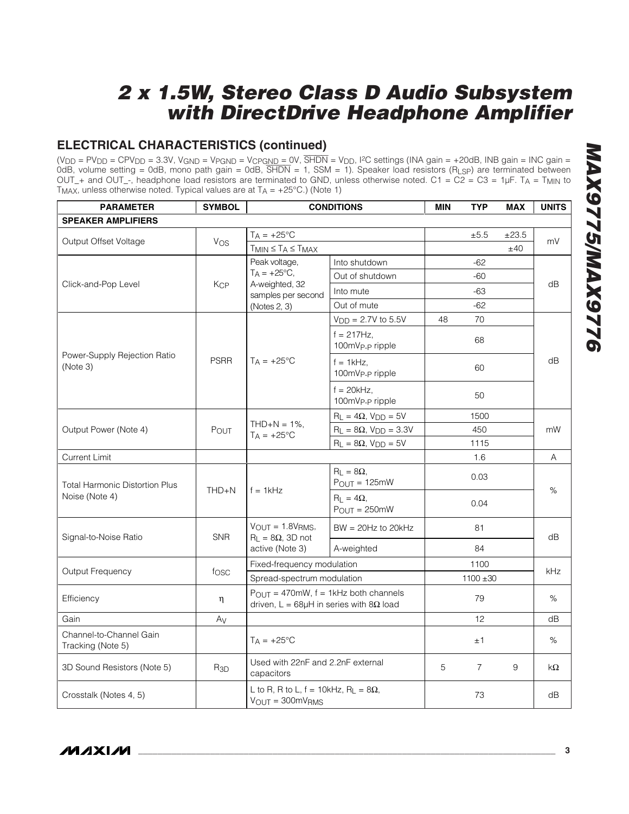## **ELECTRICAL CHARACTERISTICS (continued)**

(V<sub>DD</sub> = PV<sub>DD</sub> = CPV<sub>DD</sub> = 3.3V, V<sub>GND</sub> = V<sub>PGND</sub> = V<sub>CPGND</sub> = 0V, SHDN = V<sub>DD</sub>, I<sup>2</sup>C settings (INA gain = +20dB, INB gain = INC gain = 0dB, volume setting = 0dB, mono path gain = 0dB, SHDN = 1, SSM = 1). Speaker load resistors (RLSP) are terminated between OUT\_+ and OUT\_-, headphone load resistors are terminated to GND, unless otherwise noted. C1 = C2 = C3 = 1µF. TA = T<sub>MIN</sub> to T<sub>MAX</sub>, unless otherwise noted. Typical values are at  $T_A = +25^{\circ}C$ .) (Note 1)

| <b>PARAMETER</b>                             | <b>SYMBOL</b> | <b>CONDITIONS</b>                                                                                                | <b>MIN</b>                                  | <b>TYP</b> | <b>MAX</b>     | <b>UNITS</b> |     |  |
|----------------------------------------------|---------------|------------------------------------------------------------------------------------------------------------------|---------------------------------------------|------------|----------------|--------------|-----|--|
| <b>SPEAKER AMPLIFIERS</b>                    |               |                                                                                                                  |                                             |            |                |              |     |  |
|                                              |               | $T_A = +25^{\circ}C$                                                                                             |                                             |            | ±5.5           | ±23.5        |     |  |
| Output Offset Voltage                        | Vos           | $T_{MIN} \leq T_A \leq T_{MAX}$                                                                                  |                                             |            |                | ±40          | mV  |  |
|                                              |               | Peak voltage,                                                                                                    | Into shutdown                               |            | $-62$          |              |     |  |
| Click-and-Pop Level                          |               | $T_A = +25$ °C,                                                                                                  | Out of shutdown                             |            | -60            |              |     |  |
|                                              | Kcp           | A-weighted, 32<br>samples per second                                                                             | Into mute                                   |            | -63            |              | dB  |  |
|                                              |               | (Notes 2, 3)                                                                                                     | Out of mute                                 |            | $-62$          |              |     |  |
|                                              |               |                                                                                                                  | $V_{DD} = 2.7V$ to 5.5V                     | 48         | 70             |              |     |  |
| Power-Supply Rejection Ratio<br>(Note 3)     |               |                                                                                                                  | $f = 217Hz$ ,<br>100mVp <sub>-Pripple</sub> |            | 68             |              |     |  |
|                                              | <b>PSRR</b>   | $T_A = +25^{\circ}C$                                                                                             | $f = 1$ kHz,<br>100mVp <sub>-P</sub> ripple |            | 60             |              | dB  |  |
|                                              |               |                                                                                                                  | $f = 20$ kHz,<br>100mVp-p ripple            |            | 50             |              |     |  |
|                                              |               | $THD+N = 1\%$ ,<br>$T_A = +25$ °C                                                                                | $R_L = 4\Omega$ , $V_{DD} = 5V$             |            | 1500           |              |     |  |
| Output Power (Note 4)                        | POUT          |                                                                                                                  | $R_L = 8\Omega$ , $V_{DD} = 3.3V$           |            | 450            |              | mW  |  |
|                                              |               |                                                                                                                  | $R_L = 8\Omega$ , $V_{DD} = 5V$             |            | 1115           |              |     |  |
| <b>Current Limit</b>                         |               |                                                                                                                  |                                             |            | 1.6            |              | A   |  |
| <b>Total Harmonic Distortion Plus</b>        | $THD + N$     | $f = 1$ kHz                                                                                                      | $R_1 = 8\Omega$ .<br>$P_{OUT} = 125mW$      |            | 0.03           | %            |     |  |
| Noise (Note 4)                               |               |                                                                                                                  | $R_{L} = 4\Omega$ ,<br>$P_{OUT} = 250mW$    |            | 0.04           |              |     |  |
| Signal-to-Noise Ratio                        | <b>SNR</b>    | $V_{OUT} = 1.8V_{RMS}$<br>$R_L = 8\Omega$ , 3D not                                                               | $BW = 20Hz$ to $20kHz$                      |            | 81             |              | dB  |  |
|                                              |               | active (Note 3)                                                                                                  | A-weighted                                  | 84         |                |              |     |  |
|                                              |               | Fixed-frequency modulation                                                                                       |                                             |            | 1100           |              |     |  |
| Output Frequency                             | fosc          | Spread-spectrum modulation                                                                                       |                                             |            | $1100 + 30$    |              | kHz |  |
| Efficiency                                   | η             | $P_{\text{OUT}} = 470 \text{mW}$ , f = 1kHz both channels<br>driven, $L = 68\mu H$ in series with $8\Omega$ load |                                             |            | 79             |              | %   |  |
| Gain                                         | Av            |                                                                                                                  |                                             |            | 12             |              | dB  |  |
| Channel-to-Channel Gain<br>Tracking (Note 5) |               | $T_A = +25^{\circ}C$                                                                                             |                                             | ±1         |                | %            |     |  |
| 3D Sound Resistors (Note 5)                  | $R_{3D}$      | Used with 22nF and 2.2nF external<br>capacitors                                                                  |                                             | 5          | $\overline{7}$ | 9            | kΩ  |  |
| Crosstalk (Notes 4, 5)                       |               | L to R, R to L, $f = 10kHz$ , R <sub>L</sub> = $8\Omega$ ,<br>$V_{OUT} = 300mVRMS$                               |                                             |            | 73             |              | dB  |  |

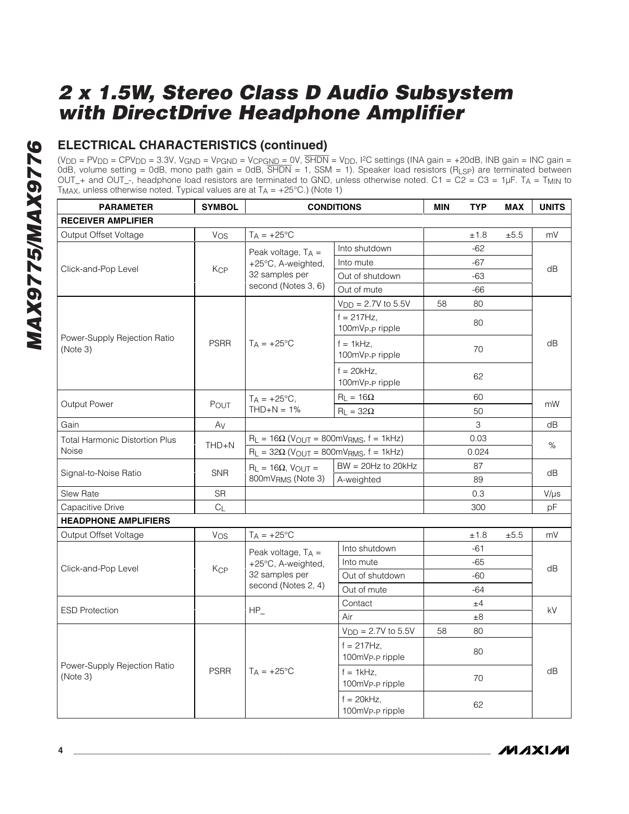## **ELECTRICAL CHARACTERISTICS (continued)**

(V<sub>DD</sub> = PV<sub>DD</sub> = CPV<sub>DD</sub> = 3.3V, V<sub>GND</sub> = V<sub>PGND</sub> = V<sub>CPGND</sub> = 0V, SHDN = V<sub>DD</sub>, I<sup>2</sup>C settings (INA gain = +20dB, INB gain = INC gain = 0dB, volume setting = 0dB, mono path gain = 0dB, SHDN = 1, SSM = 1). Speaker load resistors (RLSP) are terminated between OUT\_+ and OUT\_-, headphone load resistors are terminated to GND, unless otherwise noted. C1 = C2 = C3 = 1µF. T<sub>A</sub> = T<sub>MIN</sub> to T<sub>MAX</sub>, unless otherwise noted. Typical values are at  $T_A = +25^{\circ}C$ .) (Note 1)

| <b>PARAMETER</b>                         | <b>SYMBOL</b>  | <b>CONDITIONS</b>                            |                                              |       | TYP         | <b>MAX</b> | <b>UNITS</b> |  |
|------------------------------------------|----------------|----------------------------------------------|----------------------------------------------|-------|-------------|------------|--------------|--|
| <b>RECEIVER AMPLIFIER</b>                |                |                                              |                                              |       |             |            |              |  |
| Output Offset Voltage                    | Vos            | $T_A = +25$ °C                               |                                              |       | ±1.8        | ±5.5       | mV           |  |
|                                          |                | Peak voltage, $T_A =$                        | Into shutdown                                |       | $-62$       |            |              |  |
| Click-and-Pop Level                      |                | +25°C, A-weighted,                           | Into mute                                    |       | $-67$       |            |              |  |
|                                          | <b>KCP</b>     | 32 samples per                               | Out of shutdown                              |       | $-63$       |            | dB           |  |
|                                          |                | second (Notes 3, 6)                          | Out of mute                                  |       | $-66$       |            |              |  |
|                                          |                |                                              | $V_{DD} = 2.7V$ to 5.5V                      | 58    | 80          |            |              |  |
|                                          |                |                                              | $f = 217Hz$ ,<br>100mV <sub>P-P</sub> ripple |       | 80          |            |              |  |
| Power-Supply Rejection Ratio<br>(Note 3) | <b>PSRR</b>    | $T_A = +25^{\circ}C$                         | $f = 1kHz$ ,<br>100mVp-p ripple              |       | 70          |            | dB           |  |
|                                          |                |                                              | $f = 20kHz$ .<br>100mVp <sub>-P</sub> ripple |       | 62          |            |              |  |
|                                          |                | $T_A = +25$ °C,                              | $R_L = 16\Omega$                             |       | 60          |            |              |  |
| Output Power                             | POUT           | $THD+N = 1%$                                 | $R_L = 32\Omega$                             |       | 50          |            | mW           |  |
| Gain                                     | Av             |                                              |                                              |       | $\mathsf 3$ |            | dB           |  |
| <b>Total Harmonic Distortion Plus</b>    | $THD + N$      | $R_L = 16\Omega$ (VOUT = 800mVRMS, f = 1kHz) |                                              | 0.03  |             |            | %            |  |
| Noise                                    |                | $R_L = 32\Omega$ (VOUT = 800mVRMS, f = 1kHz) |                                              | 0.024 |             |            |              |  |
|                                          | <b>SNR</b>     | $R_L = 16\Omega$ , $V_{OUT} =$               | $BW = 20Hz$ to $20kHz$                       |       | 87          |            |              |  |
| Signal-to-Noise Ratio                    |                | 800mVRMS (Note 3)                            | A-weighted                                   |       | 89          |            | dB           |  |
| Slew Rate                                | <b>SR</b>      |                                              |                                              |       | 0.3         |            | $V/\mu s$    |  |
| Capacitive Drive                         | C <sub>L</sub> |                                              |                                              |       | 300         |            | pF           |  |
| <b>HEADPHONE AMPLIFIERS</b>              |                |                                              |                                              |       |             |            |              |  |
| Output Offset Voltage                    | Vos            | $T_A = +25$ °C                               |                                              |       | ±1.8        | ±5.5       | mV           |  |
|                                          |                | Peak voltage, $T_A =$                        | Into shutdown                                |       | $-61$       |            |              |  |
| Click-and-Pop Level                      | <b>KCP</b>     | +25°C, A-weighted,                           | Into mute                                    |       | $-65$       |            | dB           |  |
|                                          |                | 32 samples per                               | Out of shutdown                              |       | $-60$       |            |              |  |
|                                          |                | second (Notes 2, 4)                          | Out of mute                                  |       | $-64$       |            |              |  |
| <b>ESD Protection</b>                    |                | $HP_$                                        | Contact                                      |       | ±4          |            | kV           |  |
|                                          |                |                                              | Air                                          |       | $\pm 8$     |            |              |  |
|                                          |                |                                              | $V_{DD} = 2.7V$ to 5.5V                      | 58    | 80          |            |              |  |
|                                          |                |                                              | $f = 217Hz$ ,<br>100mVp-p ripple             |       | 80          |            |              |  |
| Power-Supply Rejection Ratio<br>(Note 3) | <b>PSRR</b>    | $T_A = +25^{\circ}C$                         | $f = 1$ kHz,<br>100mVp <sub>-P</sub> ripple  |       | 70          |            | dB           |  |
|                                          |                |                                              | $f = 20kHz$ ,<br>100mVp <sub>-Pripple</sub>  |       | 62          |            |              |  |

**MAXIM**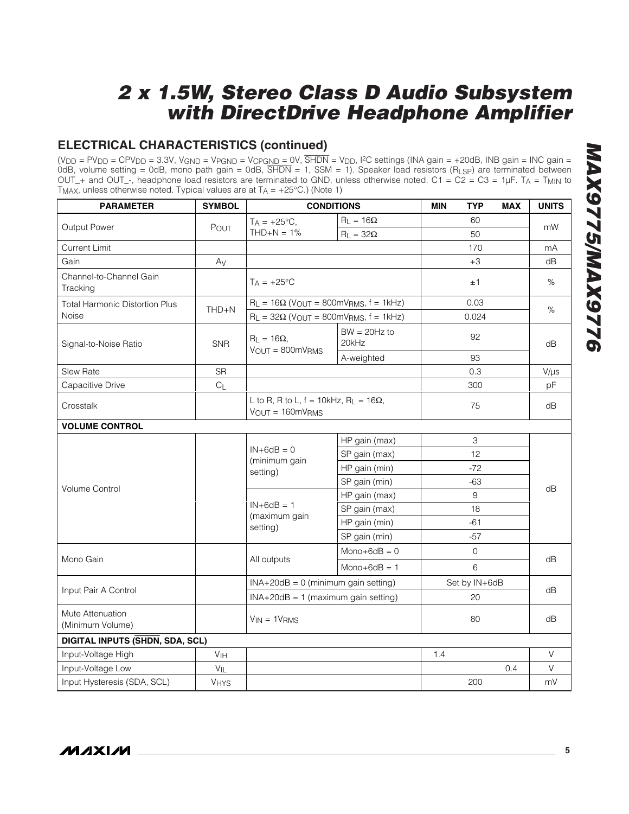## **ELECTRICAL CHARACTERISTICS (continued)**

(V<sub>DD</sub> = PV<sub>DD</sub> = CPV<sub>DD</sub> = 3.3V, V<sub>GND</sub> = V<sub>PGND</sub> = V<sub>CPGND</sub> = 0V, SHDN = V<sub>DD</sub>, I<sup>2</sup>C settings (INA gain = +20dB, INB gain = INC gain = 0dB, volume setting = 0dB, mono path gain = 0dB, SHDN = 1, SSM = 1). Speaker load resistors (RLSP) are terminated between OUT\_+ and OUT\_-, headphone load resistors are terminated to GND, unless otherwise noted. C1 = C2 = C3 = 1µF. T<sub>A</sub> = T<sub>MIN</sub> to T<sub>MAX</sub>, unless otherwise noted. Typical values are at  $T_A = +25^{\circ}C$ .) (Note 1)

| <b>PARAMETER</b>                      | <b>SYMBOL</b>   |                                                                                        | <b>CONDITIONS</b>       | <b>MIN</b> | <b>TYP</b>    | <b>MAX</b> | <b>UNITS</b> |  |
|---------------------------------------|-----------------|----------------------------------------------------------------------------------------|-------------------------|------------|---------------|------------|--------------|--|
|                                       |                 | $T_A = +25^{\circ}C,$                                                                  | $R_L = 16\Omega$        |            | 60            |            |              |  |
| Output Power                          | POUT            | $THD+N = 1%$                                                                           | $R_L = 32\Omega$        |            | 50            |            | mW           |  |
| <b>Current Limit</b>                  |                 |                                                                                        |                         |            | 170           |            | mA           |  |
| Gain                                  | Av              |                                                                                        |                         |            | $+3$          |            | dB           |  |
| Channel-to-Channel Gain<br>Tracking   |                 | $T_A = +25$ °C                                                                         |                         |            | ±1            |            | %            |  |
| <b>Total Harmonic Distortion Plus</b> | $THD + N$       | $R_L = 16\Omega$ (VOUT = 800mVRMS, f = 1kHz)                                           |                         |            | 0.03          |            | %            |  |
| Noise                                 |                 | $R_L = 32\Omega$ (VOUT = 800mVRMS, f = 1kHz)                                           |                         |            | 0.024         |            |              |  |
| Signal-to-Noise Ratio                 | <b>SNR</b>      | $R_1 = 16\Omega$ ,<br>$V_{OUT} = 800mV_{RMS}$                                          | $BW = 20Hz$ to<br>20kHz |            | 92            |            | dB           |  |
|                                       |                 |                                                                                        | A-weighted              |            | 93            |            |              |  |
| <b>Slew Rate</b>                      | <b>SR</b>       |                                                                                        |                         |            | 0.3           |            | $V/\mu s$    |  |
| Capacitive Drive                      | C <sub>L</sub>  |                                                                                        |                         |            | 300           |            | pF           |  |
| Crosstalk                             |                 | L to R, R to L, $f = 10kHz$ , R <sub>L</sub> = $16\Omega$ ,<br>$V_{OUT} = 160mV_{RMS}$ | 75                      |            | dB            |            |              |  |
| <b>VOLUME CONTROL</b>                 |                 |                                                                                        |                         |            |               |            |              |  |
|                                       |                 | HP gain (max)                                                                          |                         |            | 3             |            |              |  |
|                                       |                 | $IN+6dB = 0$<br>(minimum gain                                                          | SP gain (max)           |            | 12            |            |              |  |
|                                       |                 | setting)                                                                               | HP gain (min)           |            | $-72$         |            |              |  |
| <b>Volume Control</b>                 |                 |                                                                                        | SP gain (min)           |            | $-63$         |            | dB           |  |
|                                       |                 |                                                                                        | HP gain (max)           |            | 9             |            |              |  |
|                                       |                 | $IN+6dB = 1$<br>(maximum gain                                                          | SP gain (max)           |            | 18            |            |              |  |
|                                       |                 | setting)                                                                               | HP gain (min)           |            | $-61$         |            |              |  |
|                                       |                 |                                                                                        | SP gain (min)           | $-57$      |               |            |              |  |
| Mono Gain                             |                 |                                                                                        | $Mono+6dB = 0$          |            | $\mathbf{0}$  |            | dB           |  |
|                                       |                 | All outputs                                                                            | $Mono+6dB = 1$          |            | 6             |            |              |  |
|                                       |                 | $INA+20dB = 0$ (minimum gain setting)                                                  |                         |            | Set by IN+6dB |            |              |  |
| Input Pair A Control                  |                 | $INA+20dB = 1$ (maximum gain setting)                                                  |                         |            | 20            |            | dB           |  |
| Mute Attenuation<br>(Minimum Volume)  |                 | $V_{IN} = 1V_{RMS}$                                                                    |                         |            | 80            |            | dB           |  |
| DIGITAL INPUTS (SHDN, SDA, SCL)       |                 |                                                                                        |                         |            |               |            |              |  |
| Input-Voltage High                    | V <sub>IH</sub> |                                                                                        |                         | 1.4        |               |            | V            |  |
| Input-Voltage Low                     | $V_{IL}$        |                                                                                        |                         |            |               | 0.4        | $\vee$       |  |
| Input Hysteresis (SDA, SCL)           | VHYS            |                                                                                        |                         |            | 200           |            | mV           |  |

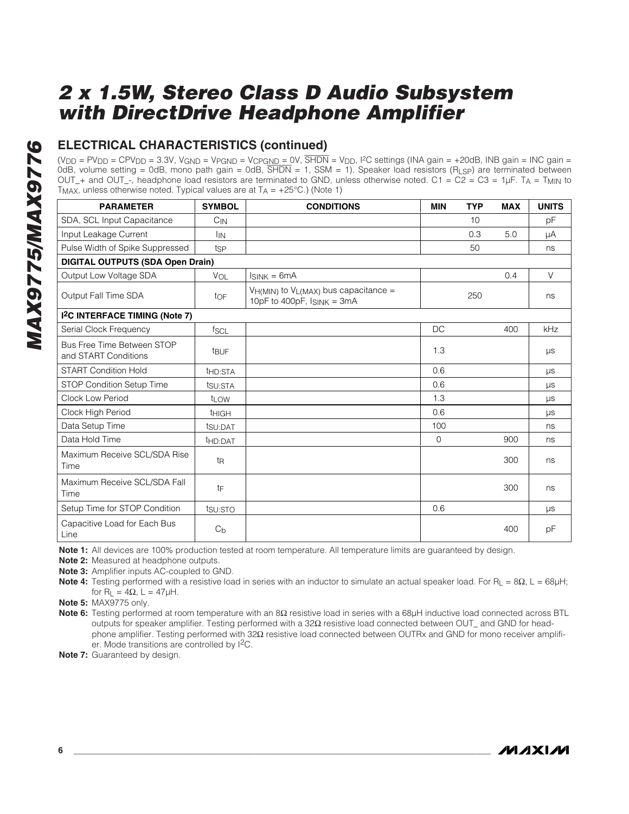## **ELECTRICAL CHARACTERISTICS (continued)**

(V<sub>DD</sub> = PV<sub>DD</sub> = CPV<sub>DD</sub> = 3.3V, V<sub>GND</sub> = V<sub>PGND</sub> = V<sub>CPGND</sub> = 0V, SHDN = V<sub>DD</sub>, I<sup>2</sup>C settings (INA gain = +20dB, INB gain = INC gain = 0dB, volume setting = 0dB, mono path gain = 0dB, SHDN = 1, SSM = 1). Speaker load resistors (RLSP) are terminated between OUT<sub>-</sub>+ and OUT<sub>--</sub>, headphone load resistors are terminated to GND, unless otherwise noted. C1 = C2 = C3 = 1µF. T<sub>A</sub> = T<sub>MIN</sub> to T<sub>MAX</sub>, unless otherwise noted. Typical values are at  $T_A = +25^{\circ}C$ .) (Note 1)

| <b>PARAMETER</b>                                   | <b>SYMBOL</b>       | <b>CONDITIONS</b>                                                                 | <b>MIN</b> | <b>TYP</b> | <b>MAX</b> | <b>UNITS</b> |
|----------------------------------------------------|---------------------|-----------------------------------------------------------------------------------|------------|------------|------------|--------------|
| SDA, SCL Input Capacitance                         | $C_{IN}$            |                                                                                   |            | 10         |            | pF           |
| Input Leakage Current                              | <b>I</b> IN         |                                                                                   |            | 0.3        | 5.0        | μA           |
| Pulse Width of Spike Suppressed                    | tsp                 |                                                                                   |            | 50         |            | ns           |
| <b>DIGITAL OUTPUTS (SDA Open Drain)</b>            |                     |                                                                                   |            |            |            |              |
| Output Low Voltage SDA                             | VOL                 | $I_{SINK} = 6mA$                                                                  |            |            | 0.4        | $\vee$       |
| Output Fall Time SDA                               | toF                 | $V_{H(MIN)}$ to $V_{L(MAX)}$ bus capacitance =<br>10pF to 400pF, $I_{SINK} = 3mA$ |            | 250        |            | ns           |
| I <sup>2</sup> C INTERFACE TIMING (Note 7)         |                     |                                                                                   |            |            |            |              |
| Serial Clock Frequency                             | fscl                |                                                                                   | DC.        |            | 400        | kHz          |
| Bus Free Time Between STOP<br>and START Conditions | t <sub>BUF</sub>    |                                                                                   | 1.3        |            |            | $\mu s$      |
| <b>START Condition Hold</b>                        | t <sub>HD:STA</sub> |                                                                                   | 0.6        |            |            | <b>LIS</b>   |
| <b>STOP Condition Setup Time</b>                   | tsu:STA             |                                                                                   | 0.6        |            |            | <b>LIS</b>   |
| <b>Clock Low Period</b>                            | t <sub>LOW</sub>    |                                                                                   | 1.3        |            |            | $\mu s$      |
| Clock High Period                                  | <b>THIGH</b>        |                                                                                   | 0.6        |            |            | μs           |
| Data Setup Time                                    | tsu:DAT             |                                                                                   | 100        |            |            | ns           |
| Data Hold Time                                     | t <sub>HD:DAT</sub> |                                                                                   | 0          |            | 900        | ns           |
| Maximum Receive SCL/SDA Rise<br>Time               | tŖ                  |                                                                                   |            |            | 300        | ns           |
| Maximum Receive SCL/SDA Fall<br>Time               | tF                  |                                                                                   |            |            | 300        | ns           |
| Setup Time for STOP Condition                      | tsu:STO             |                                                                                   | 0.6        |            |            | μs           |
| Capacitive Load for Each Bus<br>Line               | C <sub>b</sub>      |                                                                                   |            |            | 400        | рF           |

**Note 1:** All devices are 100% production tested at room temperature. All temperature limits are guaranteed by design.

**Note 2:** Measured at headphone outputs.

**Note 3:** Amplifier inputs AC-coupled to GND.

**Note 4:** Testing performed with a resistive load in series with an inductor to simulate an actual speaker load. For R<sub>L</sub> = 8Ω, L = 68μH; for R<sub>L</sub> =  $4\Omega$ , L =  $47\mu$ H.

**Note 5:** MAX9775 only.

**Note 6:** Testing performed at room temperature with an 8Ω resistive load in series with a 68µH inductive load connected across BTL outputs for speaker amplifier. Testing performed with a 32Ω resistive load connected between OUT\_ and GND for headphone amplifier. Testing performed with 32Ω resistive load connected between OUTRx and GND for mono receiver amplifier. Mode transitions are controlled by I2C.

**Note 7:** Guaranteed by design.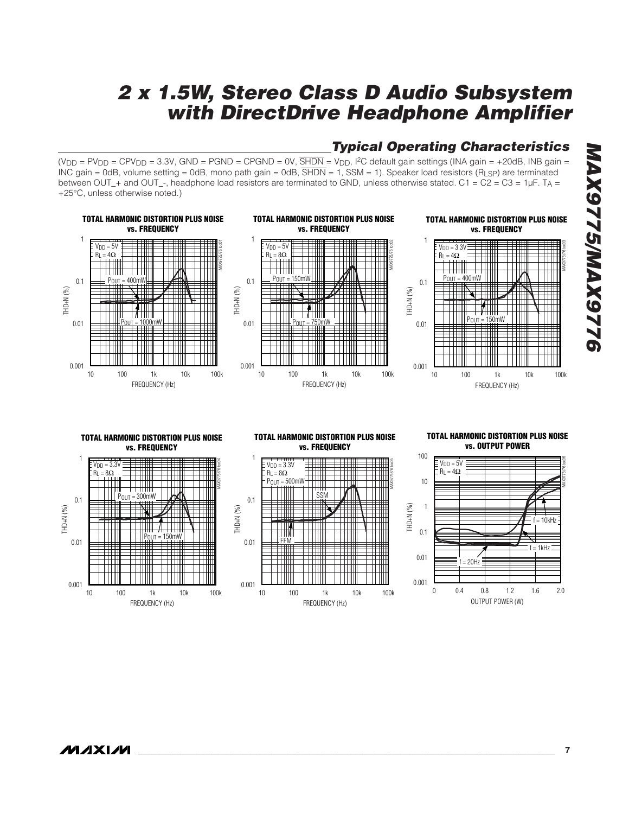## **Typical Operating Characteristics**

(V<sub>DD</sub> = PV<sub>DD</sub> = CPV<sub>DD</sub> = 3.3V, GND = PGND = CPGND = 0V,  $\overline{SHDN}$  = V<sub>DD</sub>, <sup>12</sup>C default gain settings (INA gain = +20dB, INB gain = INC gain = 0dB, volume setting = 0dB, mono path gain = 0dB,  $\overline{SHDN}$  = 1, SSM = 1). Speaker load resistors (R<sub>LSP</sub>) are terminated between OUT\_+ and OUT\_-, headphone load resistors are terminated to GND, unless otherwise stated. C1 = C2 = C3 = 1µF. T<sub>A</sub> = +25°C, unless otherwise noted.)



FREQUENCY (Hz)

100 1k 10k

10 100 1k 10k 100k

FREQUENCY (Hz)

100 1k 10k

10 100 1k 10k 100k

OUTPUT POWER (W)

0.4 0.8 1.2 1.6

0 0.4 0.8 1.2 1.6 2.0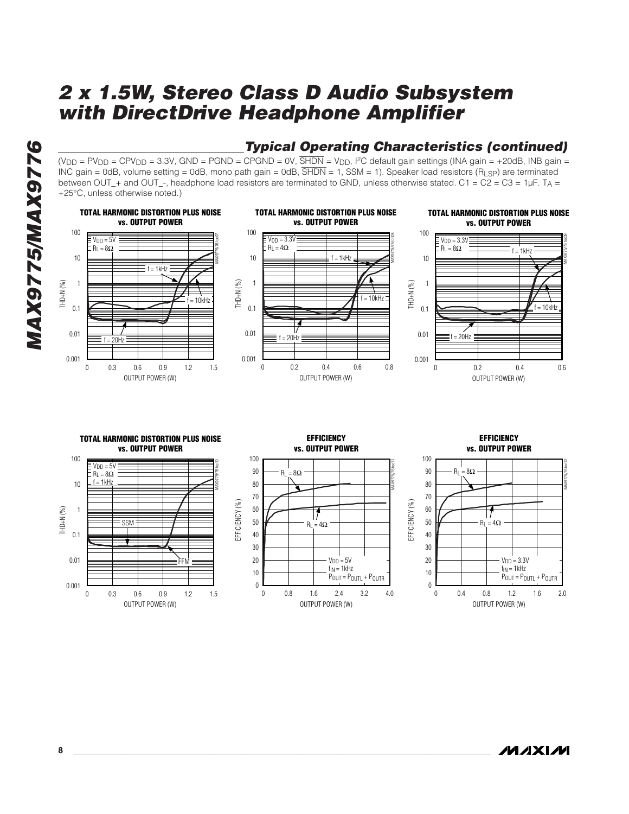

## **Typical Operating Characteristics (continued)**

 $(V_{DD} = PV_{DD} = CPV_{DD} = 3.3V$ , GND = PGND = CPGND = 0V,  $\overline{SHDN} = V_{DD}$ , <sup>12</sup>C default gain settings (INA gain = +20dB, INB gain = INC gain = 0dB, volume setting = 0dB, mono path gain = 0dB,  $\overline{SHDN}$  = 1, SSM = 1). Speaker load resistors (R<sub>LSP</sub>) are terminated between OUT\_+ and OUT\_-, headphone load resistors are terminated to GND, unless otherwise stated. C1 = C2 = C3 = 1µF. T<sub>A</sub> = +25°C, unless otherwise noted.)



OUTPUT POWER (W)

0.8 1.6 2.4 3.2

0 0.8 1.6 2.4 3.2 4.0

 $V<sub>DD</sub> = 5V$  $f_{IN} = 1kHz$ POUT = POUTL + POUTR

**MAXIM 8 \_\_\_\_\_\_\_\_\_\_\_\_\_\_\_\_\_\_\_\_\_\_\_\_\_\_\_\_\_\_\_\_\_\_\_\_\_\_\_\_\_\_\_\_\_\_\_\_\_\_\_\_\_\_\_\_\_\_\_\_\_\_\_\_\_\_\_\_\_\_\_\_\_\_\_\_\_\_\_\_\_\_\_\_\_\_\_**

OUTPUT POWER (W)

0.4 0.8 1.2 1.6

0 0.4 0.8 1.2 1.6 2.0

 $V<sub>DD</sub> = 3.3V$  $f_{IN} = 1kHz$ POUT = POUTL + POUTR

10 20 30

 $\theta$ 

0.01

0.001

OUTPUT POWER (W)

0.3 0.6 0.9 1.2

0 0.3 0.6 0.9 1.2 1.5

**FFM** 

10 20 30

 $\Omega$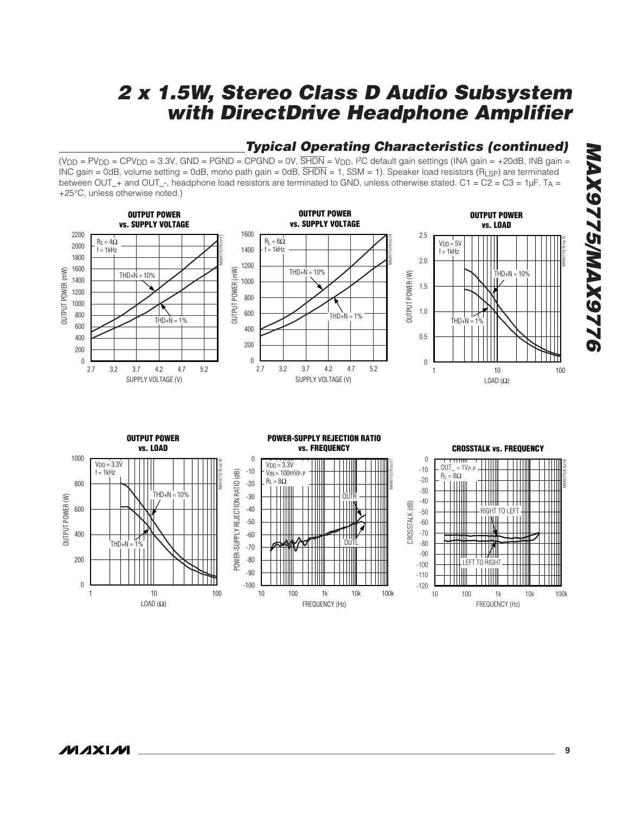$(V_{DD} = PV_{DD} = CPV_{DD} = 3.3V$ , GND = PGND = CPGND = 0V,  $\overline{SHDN} = V_{DD}$ , <sup>12</sup>C default gain settings (INA gain = +20dB, INB gain = INC gain = 0dB, volume setting = 0dB, mono path gain = 0dB, SHDN = 1, SSM = 1). Speaker load resistors (RLSP) are terminated between OUT\_+ and OUT\_-, headphone load resistors are terminated to GND, unless otherwise stated. C1 = C2 = C3 = 1µF. T<sub>A</sub> = +25°C, unless otherwise noted.) **OUTPUT POWER vs. SUPPLY VOLTAGE** MAX9775/76 toc13 2000 2200  $R_L = 4\Omega$ **OUTPUT POWER vs. SUPPLY VOLTAGE** MAX9775/76 toc14 1600  $R_L = 8\Omega$ **OUTPUT POWER vs. LOAD** MAX9775/76 toc15 2.5  $V<sub>DD</sub> = 5V$ 

 $THD+N = 10%$ 

1000 1200 1400  $f = 1$ kHz

# **Typical Operating Characteristics (continued)**

1.5

 $THD+N = 10%$ 

2.0

 $f = 1$ kHz

OUTPUT POWER (mW) OUTPUT POWER (mW) OUTPUT POWER (mW) OUTPUT POWER (mW) OUTPUT POWER (W) OUTPUT POWER (W) 800 1000 1.0 600 800  $THD+N = 1%$  $THD+N = 1%$ THD+N = 1% 600 400 0.5 400 200 200  $\boldsymbol{0}$  $\theta$  $\overline{0}$ 2.7 2.7 3.2 3.7 4.2 4.7 5.2 3.2 3.7 4.2 4.7 5.2 10 1 10 100 SUPPLY VOLTAGE (V) SUPPLY VOLTAGE (V) LOAD  $(\Omega)$ **OUTPUT POWER POWER-SUPPLY REJECTION RATIO vs. LOAD vs. FREQUENCY CROSSTALK vs. FREQUENCY** 1000 0 0 MAX9775/76 toc16 MAX9775/76 toc17  $V<sub>DD</sub> = 3.3V$  $V<sub>DD</sub> = 3.3V$ MAX9775/6 toc18  $OIII = 1VpP$ -10  $= 1$ kHz -10 VIN = 100mVP-P POWER-SUPPLY REJECTION RATIO (dB) POWER-SUPPLY REJECTION RATIO (dB)  $R_L = 8\Omega$ HII  $R_1 = 8\Omega$ -20 800 -20 Ш -30  $THD+N = 10%$ -30 Ш TIII OUTPUT POWER (W) OUTPUT POWER (W) OUTR -40 CROSSTALK (dB) CROSSTALK (dB) 600  $-40$ RIGHT TO LEFT -50 -50 -60 -70 400 -60  $THD + N$ -80 OUTL -70 -90 -80 200 -100 LEFT TO RIGHT -90 -110 0 -100 -120 100 1k 10k 10 1 10 100 10 100 1k 10k 100k 10 100 1k 10k 100k LOAD  $(\Omega)$ FREQUENCY (Hz) FREQUENCY (Hz)

 $f = 1kHz$ 

 $THD+N = 10%$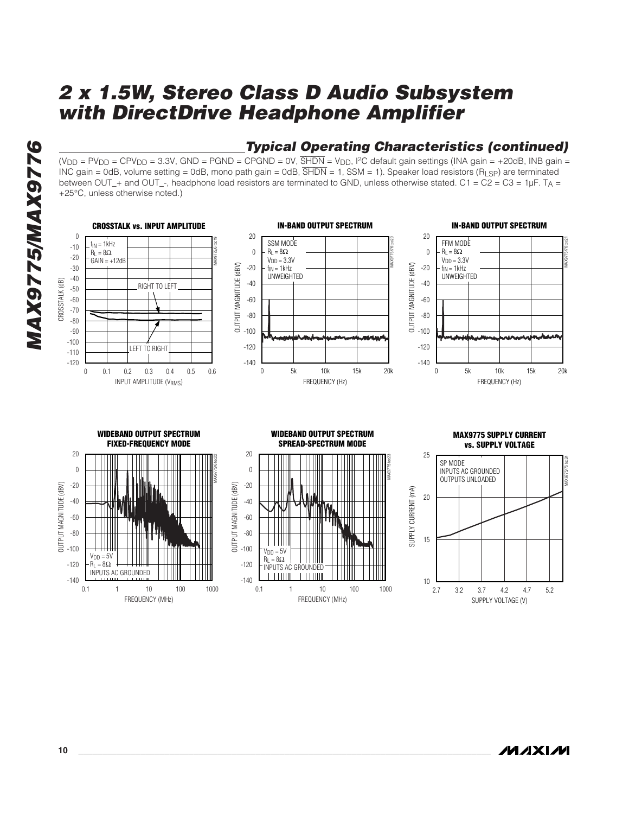

## **Typical Operating Characteristics (continued)**

 $(V_{DD} = PV_{DD} = CPV_{DD} = 3.3V$ , GND = PGND = CPGND = 0V,  $\overline{SHDN} = V_{DD}$ , <sup>12</sup>C default gain settings (INA gain = +20dB, INB gain = INC gain = 0dB, volume setting = 0dB, mono path gain = 0dB,  $\overline{SHDN}$  = 1, SSM = 1). Speaker load resistors (R<sub>LSP</sub>) are terminated between OUT\_+ and OUT\_-, headphone load resistors are terminated to GND, unless otherwise stated. C1 = C2 = C3 = 1µF. T<sub>A</sub> = +25°C, unless otherwise noted.)

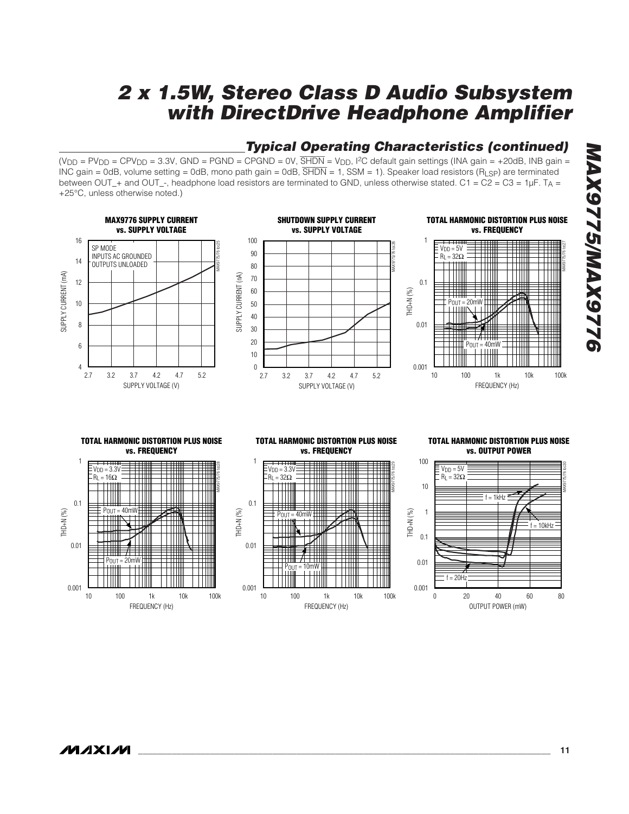## **Typical Operating Characteristics (continued)**

 $(V_{DD} = PV_{DD} = CPV_{DD} = 3.3V$ , GND = PGND = CPGND = 0V,  $\overline{SHDN} = V_{DD}$ , <sup>12</sup>C default gain settings (INA gain = +20dB, INB gain = INC gain = 0dB, volume setting = 0dB, mono path gain = 0dB, SHDN = 1, SSM = 1). Speaker load resistors (RLSP) are terminated between OUT\_+ and OUT\_-, headphone load resistors are terminated to GND, unless otherwise stated. C1 = C2 = C3 = 1µF. T<sub>A</sub> = +25°C, unless otherwise noted.)



# **MAX9775/MAX9776 NAX9775/MAX977**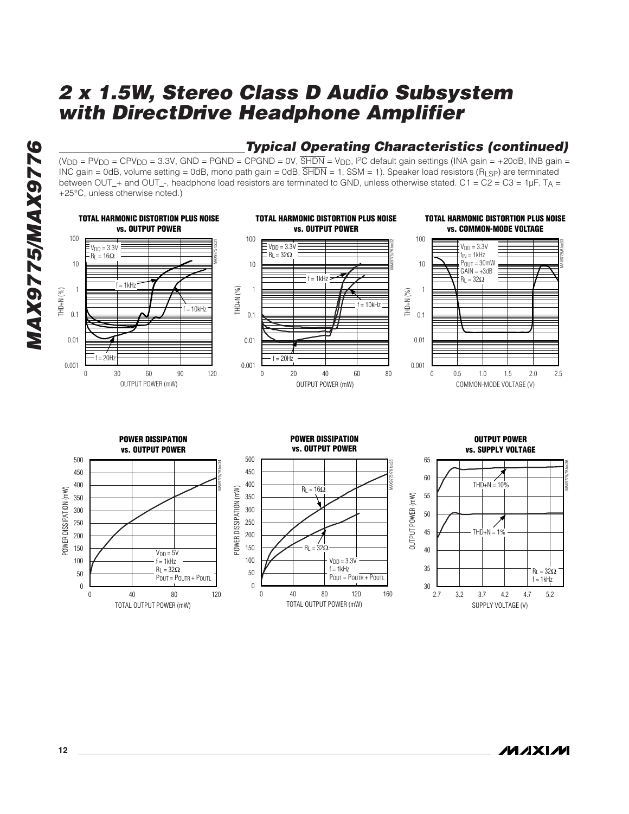

## **Typical Operating Characteristics (continued)**

 $(V_{DD} = PV_{DD} = CPV_{DD} = 3.3V$ , GND = PGND = CPGND = 0V,  $\overline{SHDN} = V_{DD}$ , <sup>12</sup>C default gain settings (INA gain = +20dB, INB gain = INC gain = 0dB, volume setting = 0dB, mono path gain = 0dB,  $\overline{SHDN}$  = 1, SSM = 1). Speaker load resistors (R<sub>LSP</sub>) are terminated between OUT\_+ and OUT\_-, headphone load resistors are terminated to GND, unless otherwise stated. C1 = C2 = C3 = 1µF. T<sub>A</sub> = +25°C, unless otherwise noted.)

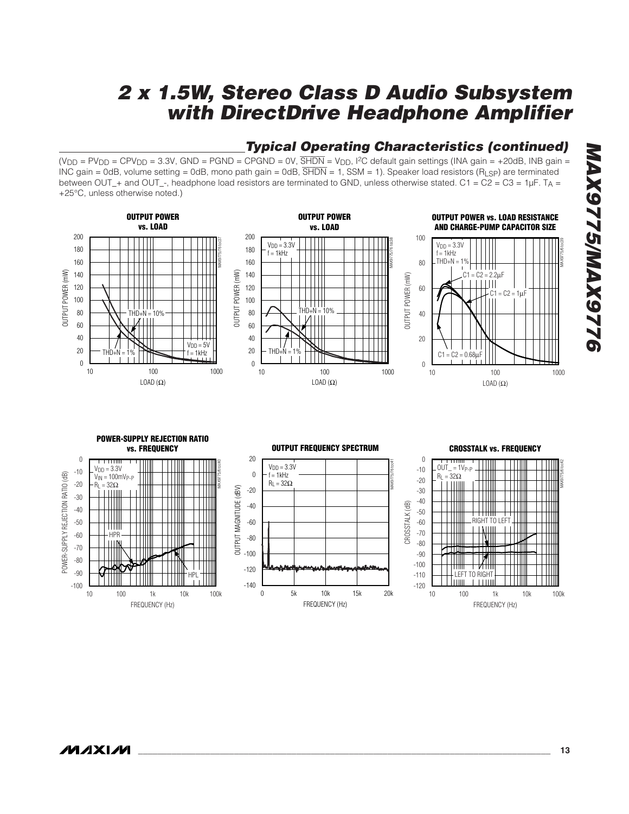## **Typical Operating Characteristics (continued)**

 $(V_{DD} = PV_{DD} = CPV_{DD} = 3.3V$ , GND = PGND = CPGND = 0V,  $\overline{SHDN} = V_{DD}$ , <sup>12</sup>C default gain settings (INA gain = +20dB, INB gain = INC gain = 0dB, volume setting = 0dB, mono path gain = 0dB, SHDN = 1, SSM = 1). Speaker load resistors (RLSP) are terminated between OUT\_+ and OUT\_-, headphone load resistors are terminated to GND, unless otherwise stated. C1 = C2 = C3 = 1µF. T<sub>A</sub> = +25°C, unless otherwise noted.)

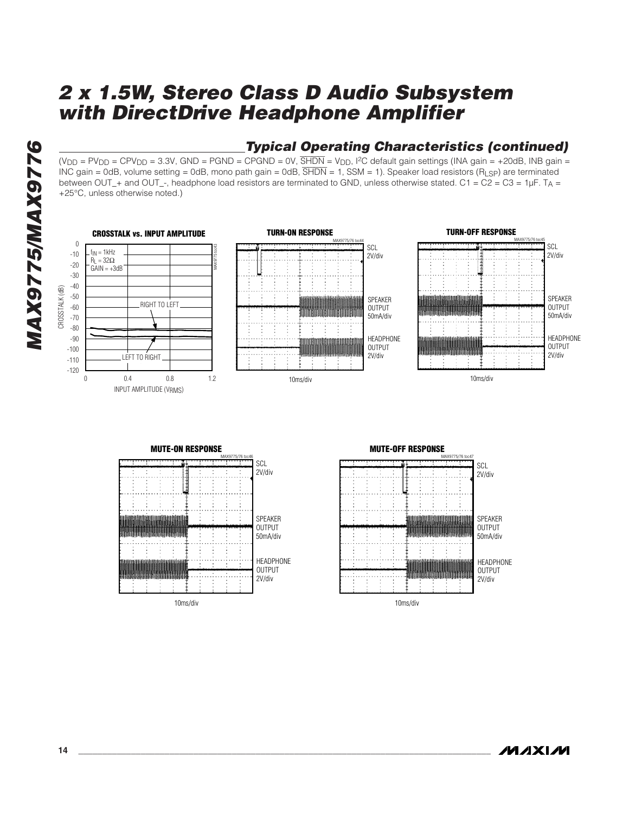# **MAX9775/MAX9776 MAX9775/MAX9776**

## **Typical Operating Characteristics (continued)**

 $(V_{DD} = PV_{DD} = CPV_{DD} = 3.3V$ , GND = PGND = CPGND = 0V,  $\overline{SHDN} = V_{DD}$ , <sup>12</sup>C default gain settings (INA gain = +20dB, INB gain = INC gain = 0dB, volume setting = 0dB, mono path gain = 0dB,  $\overline{SHDN}$  = 1, SSM = 1). Speaker load resistors (R<sub>LSP</sub>) are terminated between OUT\_+ and OUT\_-, headphone load resistors are terminated to GND, unless otherwise stated. C1 = C2 = C3 = 1µF. T<sub>A</sub> = +25°C, unless otherwise noted.)









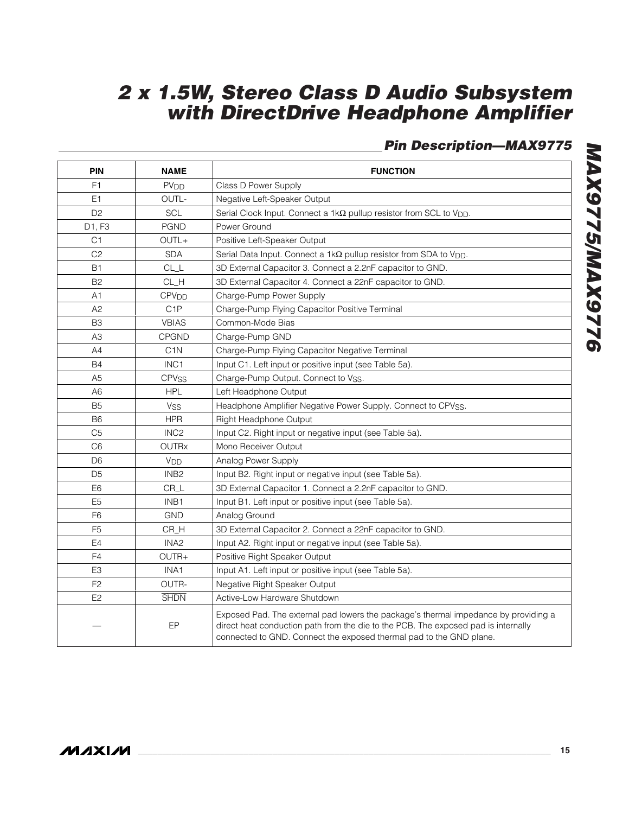## **Pin Description—MAX9775**

| PIN            | <b>NAME</b>             | <b>FUNCTION</b>                                                                                                                                                                                                                                  |  |  |  |  |  |  |
|----------------|-------------------------|--------------------------------------------------------------------------------------------------------------------------------------------------------------------------------------------------------------------------------------------------|--|--|--|--|--|--|
| F <sub>1</sub> | <b>PV<sub>DD</sub></b>  | Class D Power Supply                                                                                                                                                                                                                             |  |  |  |  |  |  |
| E1             | OUTL-                   | Negative Left-Speaker Output                                                                                                                                                                                                                     |  |  |  |  |  |  |
| D <sub>2</sub> | SCL                     | Serial Clock Input. Connect a 1k $\Omega$ pullup resistor from SCL to V <sub>DD</sub> .                                                                                                                                                          |  |  |  |  |  |  |
| D1, F3         | <b>PGND</b>             | Power Ground                                                                                                                                                                                                                                     |  |  |  |  |  |  |
| C <sub>1</sub> | OUTL+                   | Positive Left-Speaker Output                                                                                                                                                                                                                     |  |  |  |  |  |  |
| C <sub>2</sub> | <b>SDA</b>              | Serial Data Input. Connect a $1k\Omega$ pullup resistor from SDA to V <sub>DD</sub> .                                                                                                                                                            |  |  |  |  |  |  |
| <b>B1</b>      | CL                      | 3D External Capacitor 3. Connect a 2.2nF capacitor to GND.                                                                                                                                                                                       |  |  |  |  |  |  |
| <b>B2</b>      | CL_H                    | 3D External Capacitor 4. Connect a 22nF capacitor to GND.                                                                                                                                                                                        |  |  |  |  |  |  |
| A1             | <b>CPV<sub>DD</sub></b> | Charge-Pump Power Supply                                                                                                                                                                                                                         |  |  |  |  |  |  |
| A <sub>2</sub> | C <sub>1</sub> P        | Charge-Pump Flying Capacitor Positive Terminal                                                                                                                                                                                                   |  |  |  |  |  |  |
| B <sub>3</sub> | <b>VBIAS</b>            | Common-Mode Bias                                                                                                                                                                                                                                 |  |  |  |  |  |  |
| A <sub>3</sub> | CPGND                   | Charge-Pump GND                                                                                                                                                                                                                                  |  |  |  |  |  |  |
| A4             | C <sub>1</sub> N        | Charge-Pump Flying Capacitor Negative Terminal                                                                                                                                                                                                   |  |  |  |  |  |  |
| <b>B4</b>      | INC <sub>1</sub>        | Input C1. Left input or positive input (see Table 5a).                                                                                                                                                                                           |  |  |  |  |  |  |
| A <sub>5</sub> | <b>CPV<sub>SS</sub></b> | Charge-Pump Output. Connect to Vss.                                                                                                                                                                                                              |  |  |  |  |  |  |
| A <sub>6</sub> | <b>HPL</b>              | Left Headphone Output                                                                                                                                                                                                                            |  |  |  |  |  |  |
| B <sub>5</sub> | <b>V<sub>SS</sub></b>   | Headphone Amplifier Negative Power Supply. Connect to CPVSS.                                                                                                                                                                                     |  |  |  |  |  |  |
| B <sub>6</sub> | <b>HPR</b>              | Right Headphone Output                                                                                                                                                                                                                           |  |  |  |  |  |  |
| C <sub>5</sub> | INC <sub>2</sub>        | Input C2. Right input or negative input (see Table 5a).                                                                                                                                                                                          |  |  |  |  |  |  |
| C <sub>6</sub> | <b>OUTRx</b>            | Mono Receiver Output                                                                                                                                                                                                                             |  |  |  |  |  |  |
| D <sub>6</sub> | V <sub>DD</sub>         | Analog Power Supply                                                                                                                                                                                                                              |  |  |  |  |  |  |
| D <sub>5</sub> | INB <sub>2</sub>        | Input B2. Right input or negative input (see Table 5a).                                                                                                                                                                                          |  |  |  |  |  |  |
| E <sub>6</sub> | CR_L                    | 3D External Capacitor 1. Connect a 2.2nF capacitor to GND.                                                                                                                                                                                       |  |  |  |  |  |  |
| E <sub>5</sub> | INB1                    | Input B1. Left input or positive input (see Table 5a).                                                                                                                                                                                           |  |  |  |  |  |  |
| F <sub>6</sub> | <b>GND</b>              | Analog Ground                                                                                                                                                                                                                                    |  |  |  |  |  |  |
| F <sub>5</sub> | CR_H                    | 3D External Capacitor 2. Connect a 22nF capacitor to GND.                                                                                                                                                                                        |  |  |  |  |  |  |
| E4             | INA <sub>2</sub>        | Input A2. Right input or negative input (see Table 5a).                                                                                                                                                                                          |  |  |  |  |  |  |
| F <sub>4</sub> | OUTR+                   | Positive Right Speaker Output                                                                                                                                                                                                                    |  |  |  |  |  |  |
| E <sub>3</sub> | INA1                    | Input A1. Left input or positive input (see Table 5a).                                                                                                                                                                                           |  |  |  |  |  |  |
| F <sub>2</sub> | OUTR-                   | Negative Right Speaker Output                                                                                                                                                                                                                    |  |  |  |  |  |  |
| E <sub>2</sub> | <b>SHDN</b>             | Active-Low Hardware Shutdown                                                                                                                                                                                                                     |  |  |  |  |  |  |
|                | EP                      | Exposed Pad. The external pad lowers the package's thermal impedance by providing a<br>direct heat conduction path from the die to the PCB. The exposed pad is internally<br>connected to GND. Connect the exposed thermal pad to the GND plane. |  |  |  |  |  |  |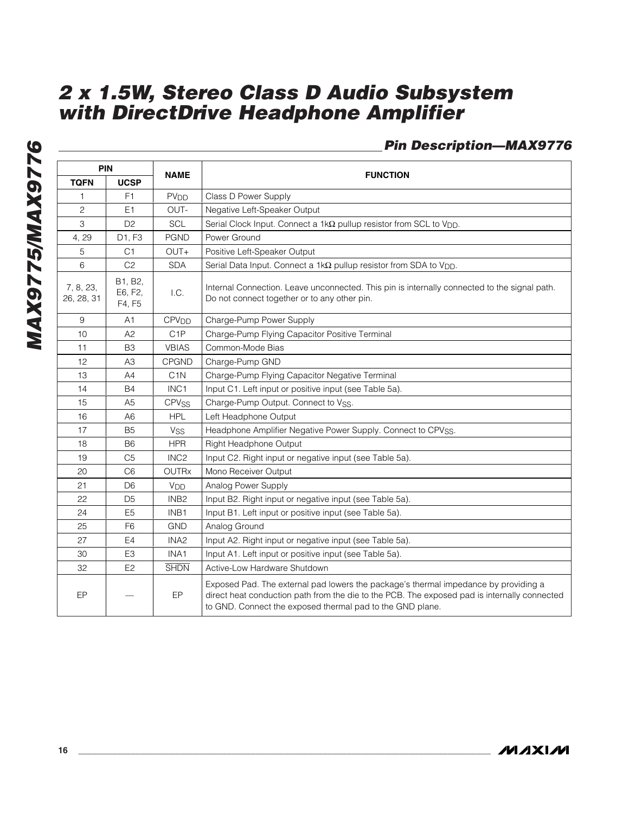## **Pin Description—MAX9776**

| PIN                     |                              | <b>NAME</b>             | <b>FUNCTION</b>                                                                                                                                                                                                                                  |  |  |  |  |  |
|-------------------------|------------------------------|-------------------------|--------------------------------------------------------------------------------------------------------------------------------------------------------------------------------------------------------------------------------------------------|--|--|--|--|--|
| <b>TQFN</b>             | <b>UCSP</b>                  |                         |                                                                                                                                                                                                                                                  |  |  |  |  |  |
| 1                       | F <sub>1</sub>               | <b>PV<sub>DD</sub></b>  | Class D Power Supply                                                                                                                                                                                                                             |  |  |  |  |  |
| $\mathbf{2}$            | E1                           | OUT-                    | Negative Left-Speaker Output                                                                                                                                                                                                                     |  |  |  |  |  |
| 3                       | D <sub>2</sub>               | SCL                     | Serial Clock Input. Connect a 1kΩ pullup resistor from SCL to V <sub>DD</sub> .                                                                                                                                                                  |  |  |  |  |  |
| 4, 29                   | D1, F3                       | <b>PGND</b>             | Power Ground                                                                                                                                                                                                                                     |  |  |  |  |  |
| 5                       | C1                           | OUT+                    | Positive Left-Speaker Output                                                                                                                                                                                                                     |  |  |  |  |  |
| 6                       | C <sub>2</sub>               | <b>SDA</b>              | Serial Data Input. Connect a $1k\Omega$ pullup resistor from SDA to V <sub>DD</sub> .                                                                                                                                                            |  |  |  |  |  |
| 7, 8, 23,<br>26, 28, 31 | B1, B2,<br>E6, F2,<br>F4, F5 | 1.C.                    | Internal Connection. Leave unconnected. This pin is internally connected to the signal path.<br>Do not connect together or to any other pin.                                                                                                     |  |  |  |  |  |
| $\boldsymbol{9}$        | A1                           | CPV <sub>DD</sub>       | Charge-Pump Power Supply                                                                                                                                                                                                                         |  |  |  |  |  |
| 10                      | A2                           | C <sub>1</sub> P        | Charge-Pump Flying Capacitor Positive Terminal                                                                                                                                                                                                   |  |  |  |  |  |
| 11                      | B <sub>3</sub>               | <b>VBIAS</b>            | Common-Mode Bias                                                                                                                                                                                                                                 |  |  |  |  |  |
| 12                      | A3                           | CPGND                   | Charge-Pump GND                                                                                                                                                                                                                                  |  |  |  |  |  |
| 13                      | A4                           | C <sub>1</sub> N        | Charge-Pump Flying Capacitor Negative Terminal                                                                                                                                                                                                   |  |  |  |  |  |
| 14                      | <b>B4</b>                    | INC1                    | Input C1. Left input or positive input (see Table 5a).                                                                                                                                                                                           |  |  |  |  |  |
| 15                      | A <sub>5</sub>               | <b>CPV<sub>SS</sub></b> | Charge-Pump Output. Connect to Vss.                                                                                                                                                                                                              |  |  |  |  |  |
| 16                      | A <sub>6</sub>               | <b>HPL</b>              | Left Headphone Output                                                                                                                                                                                                                            |  |  |  |  |  |
| 17                      | B <sub>5</sub>               | <b>V<sub>SS</sub></b>   | Headphone Amplifier Negative Power Supply. Connect to CPVSS.                                                                                                                                                                                     |  |  |  |  |  |
| 18                      | <b>B6</b>                    | <b>HPR</b>              | <b>Right Headphone Output</b>                                                                                                                                                                                                                    |  |  |  |  |  |
| 19                      | C <sub>5</sub>               | INC <sub>2</sub>        | Input C2. Right input or negative input (see Table 5a).                                                                                                                                                                                          |  |  |  |  |  |
| 20                      | C <sub>6</sub>               | <b>OUTRx</b>            | Mono Receiver Output                                                                                                                                                                                                                             |  |  |  |  |  |
| 21                      | D <sub>6</sub>               | V <sub>DD</sub>         | Analog Power Supply                                                                                                                                                                                                                              |  |  |  |  |  |
| 22                      | D <sub>5</sub>               | INB <sub>2</sub>        | Input B2. Right input or negative input (see Table 5a).                                                                                                                                                                                          |  |  |  |  |  |
| 24                      | E <sub>5</sub>               | INB1                    | Input B1. Left input or positive input (see Table 5a).                                                                                                                                                                                           |  |  |  |  |  |
| 25                      | F <sub>6</sub>               | <b>GND</b>              | Analog Ground                                                                                                                                                                                                                                    |  |  |  |  |  |
| 27                      | E <sub>4</sub>               | INA <sub>2</sub>        | Input A2. Right input or negative input (see Table 5a).                                                                                                                                                                                          |  |  |  |  |  |
| 30                      | E <sub>3</sub>               | INA1                    | Input A1. Left input or positive input (see Table 5a).                                                                                                                                                                                           |  |  |  |  |  |
| 32                      | E2                           | <b>SHDN</b>             | Active-Low Hardware Shutdown                                                                                                                                                                                                                     |  |  |  |  |  |
| EP                      |                              | EP                      | Exposed Pad. The external pad lowers the package's thermal impedance by providing a<br>direct heat conduction path from the die to the PCB. The exposed pad is internally connected<br>to GND. Connect the exposed thermal pad to the GND plane. |  |  |  |  |  |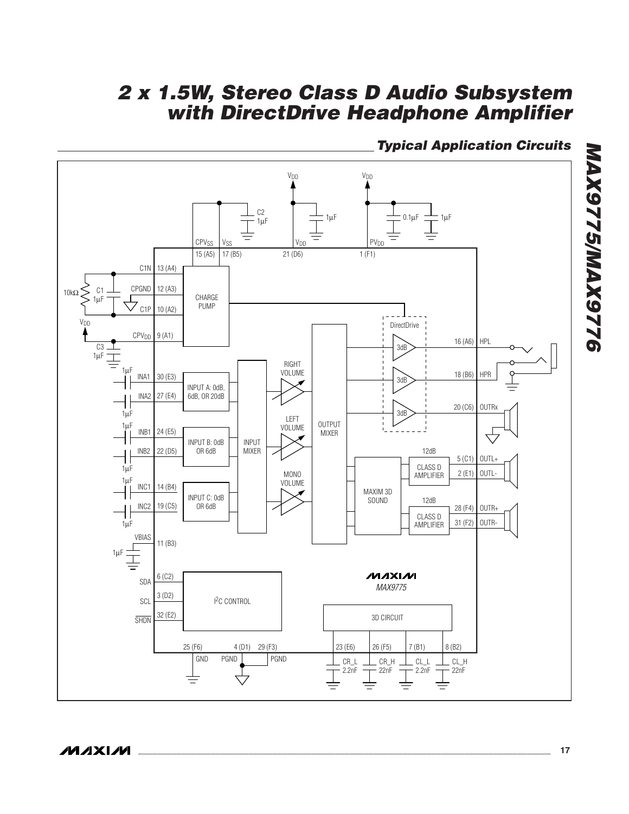## **Typical Application Circuits**

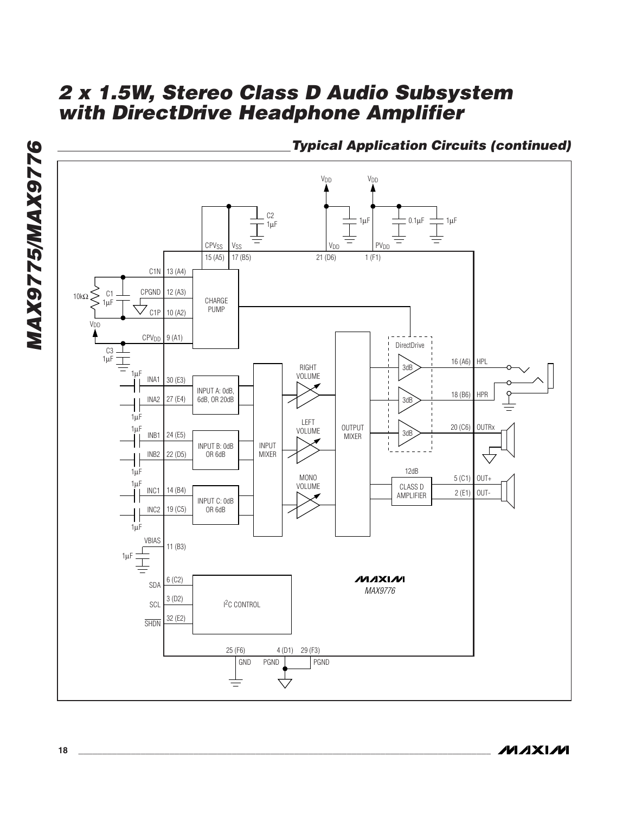

**Typical Application Circuits (continued)**

**MAX9775/MAX9776**

**MAX9775/MAX9776**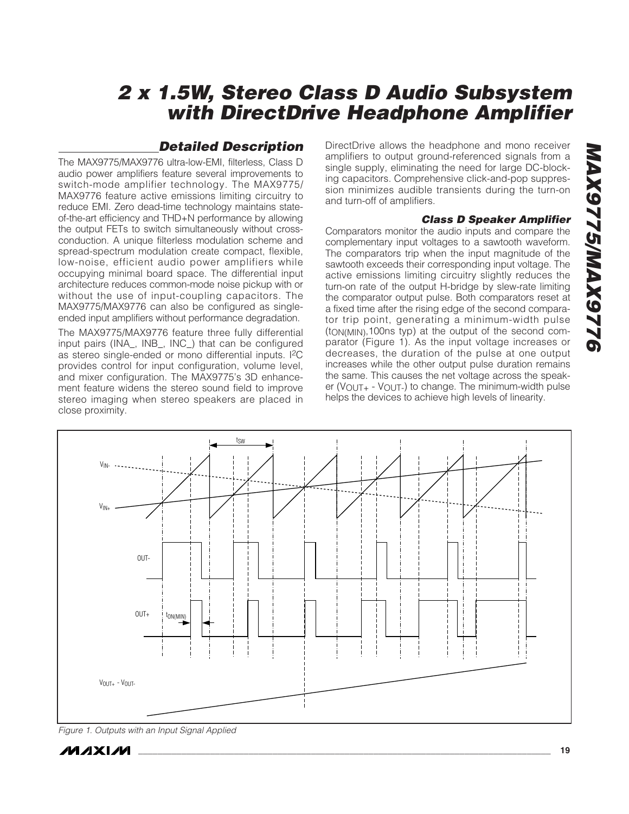## **Detailed Description**

The MAX9775/MAX9776 ultra-low-EMI, filterless, Class D audio power amplifiers feature several improvements to switch-mode amplifier technology. The MAX9775/ MAX9776 feature active emissions limiting circuitry to reduce EMI. Zero dead-time technology maintains stateof-the-art efficiency and THD+N performance by allowing the output FETs to switch simultaneously without crossconduction. A unique filterless modulation scheme and spread-spectrum modulation create compact, flexible, low-noise, efficient audio power amplifiers while occupying minimal board space. The differential input architecture reduces common-mode noise pickup with or without the use of input-coupling capacitors. The MAX9775/MAX9776 can also be configured as singleended input amplifiers without performance degradation.

The MAX9775/MAX9776 feature three fully differential input pairs (INA\_, INB\_, INC\_) that can be configured as stereo single-ended or mono differential inputs. I2C provides control for input configuration, volume level, and mixer configuration. The MAX9775's 3D enhancement feature widens the stereo sound field to improve stereo imaging when stereo speakers are placed in close proximity.

DirectDrive allows the headphone and mono receiver amplifiers to output ground-referenced signals from a single supply, eliminating the need for large DC-blocking capacitors. Comprehensive click-and-pop suppression minimizes audible transients during the turn-on and turn-off of amplifiers.

#### **Class D Speaker Amplifier**

Comparators monitor the audio inputs and compare the complementary input voltages to a sawtooth waveform. The comparators trip when the input magnitude of the sawtooth exceeds their corresponding input voltage. The active emissions limiting circuitry slightly reduces the turn-on rate of the output H-bridge by slew-rate limiting the comparator output pulse. Both comparators reset at a fixed time after the rising edge of the second comparator trip point, generating a minimum-width pulse (tON(MIN),100ns typ) at the output of the second comparator (Figure 1). As the input voltage increases or decreases, the duration of the pulse at one output increases while the other output pulse duration remains the same. This causes the net voltage across the speaker ( $V$ OUT<sub>+</sub> -  $V$ OUT<sub>-</sub>) to change. The minimum-width pulse helps the devices to achieve high levels of linearity.



Figure 1. Outputs with an Input Signal Applied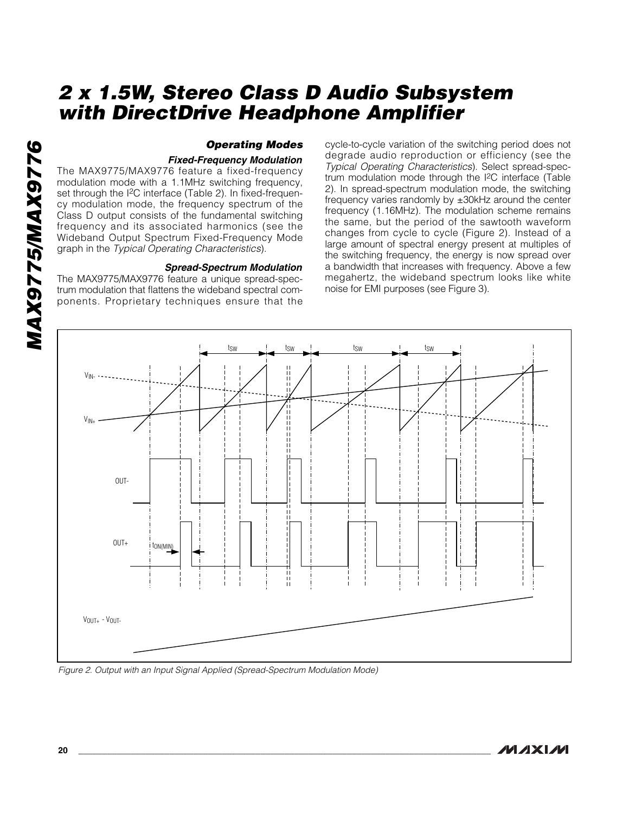#### **Operating Modes**

#### **Fixed-Frequency Modulation**

The MAX9775/MAX9776 feature a fixed-frequency modulation mode with a 1.1MHz switching frequency, set through the I<sup>2</sup>C interface (Table 2). In fixed-frequency modulation mode, the frequency spectrum of the Class D output consists of the fundamental switching frequency and its associated harmonics (see the Wideband Output Spectrum Fixed-Frequency Mode graph in the Typical Operating Characteristics).

#### **Spread-Spectrum Modulation**

The MAX9775/MAX9776 feature a unique spread-spectrum modulation that flattens the wideband spectral components. Proprietary techniques ensure that the cycle-to-cycle variation of the switching period does not degrade audio reproduction or efficiency (see the Typical Operating Characteristics). Select spread-spectrum modulation mode through the I2C interface (Table 2). In spread-spectrum modulation mode, the switching frequency varies randomly by ±30kHz around the center frequency (1.16MHz). The modulation scheme remains the same, but the period of the sawtooth waveform changes from cycle to cycle (Figure 2). Instead of a large amount of spectral energy present at multiples of the switching frequency, the energy is now spread over a bandwidth that increases with frequency. Above a few megahertz, the wideband spectrum looks like white noise for EMI purposes (see Figure 3).



Figure 2. Output with an Input Signal Applied (Spread-Spectrum Modulation Mode)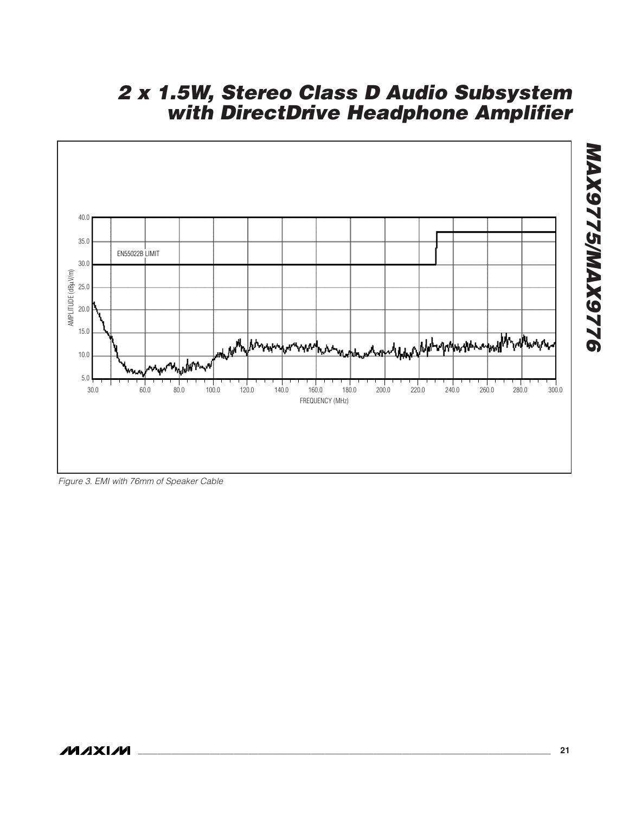

Figure 3. EMI with 76mm of Speaker Cable

**MAX9775/MAX9776**

**MAX9775/MAX9776**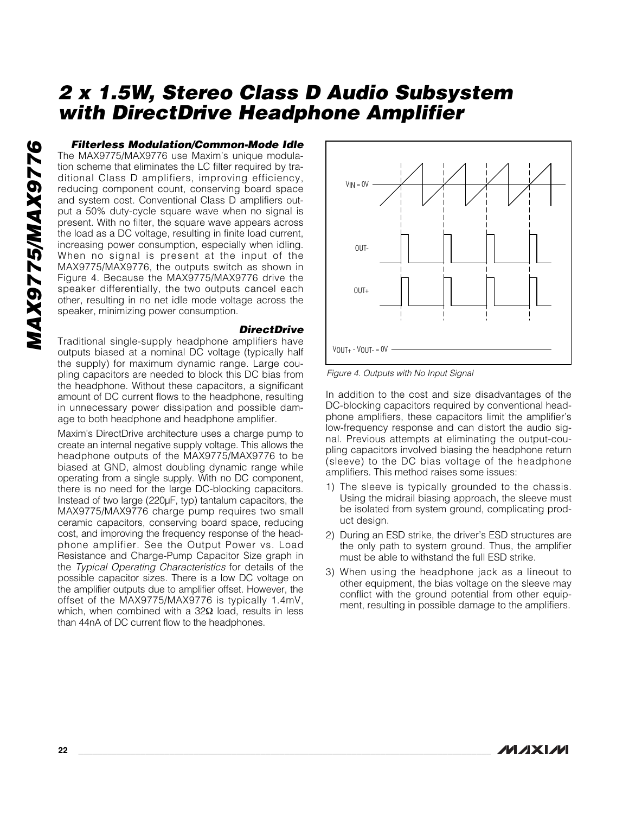**Filterless Modulation/Common-Mode Idle** The MAX9775/MAX9776 use Maxim's unique modulation scheme that eliminates the LC filter required by traditional Class D amplifiers, improving efficiency, reducing component count, conserving board space and system cost. Conventional Class D amplifiers output a 50% duty-cycle square wave when no signal is present. With no filter, the square wave appears across the load as a DC voltage, resulting in finite load current, increasing power consumption, especially when idling. When no signal is present at the input of the MAX9775/MAX9776, the outputs switch as shown in Figure 4. Because the MAX9775/MAX9776 drive the speaker differentially, the two outputs cancel each other, resulting in no net idle mode voltage across the speaker, minimizing power consumption.

#### **DirectDrive**

Traditional single-supply headphone amplifiers have outputs biased at a nominal DC voltage (typically half the supply) for maximum dynamic range. Large coupling capacitors are needed to block this DC bias from the headphone. Without these capacitors, a significant amount of DC current flows to the headphone, resulting in unnecessary power dissipation and possible damage to both headphone and headphone amplifier.

Maxim's DirectDrive architecture uses a charge pump to create an internal negative supply voltage. This allows the headphone outputs of the MAX9775/MAX9776 to be biased at GND, almost doubling dynamic range while operating from a single supply. With no DC component, there is no need for the large DC-blocking capacitors. Instead of two large (220µF, typ) tantalum capacitors, the MAX9775/MAX9776 charge pump requires two small ceramic capacitors, conserving board space, reducing cost, and improving the frequency response of the headphone amplifier. See the Output Power vs. Load Resistance and Charge-Pump Capacitor Size graph in the Typical Operating Characteristics for details of the possible capacitor sizes. There is a low DC voltage on the amplifier outputs due to amplifier offset. However, the offset of the MAX9775/MAX9776 is typically 1.4mV, which, when combined with a 32Ω load, results in less than 44nA of DC current flow to the headphones.



Figure 4. Outputs with No Input Signal

In addition to the cost and size disadvantages of the DC-blocking capacitors required by conventional headphone amplifiers, these capacitors limit the amplifier's low-frequency response and can distort the audio signal. Previous attempts at eliminating the output-coupling capacitors involved biasing the headphone return (sleeve) to the DC bias voltage of the headphone amplifiers. This method raises some issues:

- 1) The sleeve is typically grounded to the chassis. Using the midrail biasing approach, the sleeve must be isolated from system ground, complicating product design.
- 2) During an ESD strike, the driver's ESD structures are the only path to system ground. Thus, the amplifier must be able to withstand the full ESD strike.
- 3) When using the headphone jack as a lineout to other equipment, the bias voltage on the sleeve may conflict with the ground potential from other equipment, resulting in possible damage to the amplifiers.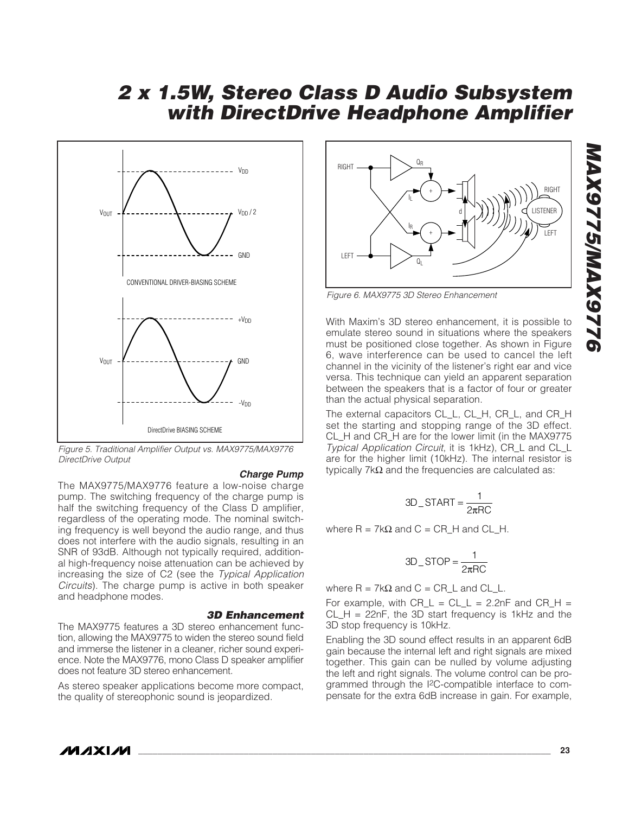

Figure 5. Traditional Amplifier Output vs. MAX9775/MAX9776 DirectDrive Output

#### **Charge Pump**

The MAX9775/MAX9776 feature a low-noise charge pump. The switching frequency of the charge pump is half the switching frequency of the Class D amplifier, regardless of the operating mode. The nominal switching frequency is well beyond the audio range, and thus does not interfere with the audio signals, resulting in an SNR of 93dB. Although not typically required, additional high-frequency noise attenuation can be achieved by increasing the size of C2 (see the Typical Application Circuits). The charge pump is active in both speaker and headphone modes.

#### **3D Enhancement**

The MAX9775 features a 3D stereo enhancement function, allowing the MAX9775 to widen the stereo sound field and immerse the listener in a cleaner, richer sound experience. Note the MAX9776, mono Class D speaker amplifier does not feature 3D stereo enhancement.

As stereo speaker applications become more compact, the quality of stereophonic sound is jeopardized.



Figure 6. MAX9775 3D Stereo Enhancement

With Maxim's 3D stereo enhancement, it is possible to emulate stereo sound in situations where the speakers must be positioned close together. As shown in Figure 6, wave interference can be used to cancel the left channel in the vicinity of the listener's right ear and vice versa. This technique can yield an apparent separation between the speakers that is a factor of four or greater than the actual physical separation.

The external capacitors CL\_L, CL\_H, CR\_L, and CR\_H set the starting and stopping range of the 3D effect. CL\_H and CR\_H are for the lower limit (in the MAX9775 Typical Application Circuit, it is 1kHz), CR\_L and CL\_L are for the higher limit (10kHz). The internal resistor is typically 7kΩ and the frequencies are calculated as:

$$
3D\_START = \frac{1}{2\pi RC}
$$

where  $R = 7kΩ$  and  $C = CR_H$  and  $CL_H$ .

$$
3D\_STOP = \frac{1}{2\pi RC}
$$

where  $R = 7kΩ$  and  $C = CR_l$  and  $CL_l$ .

For example, with  $CR_L = CL_L = 2.2nF$  and  $CR_H =$  $CL_H = 22nF$ , the 3D start frequency is 1kHz and the 3D stop frequency is 10kHz.

Enabling the 3D sound effect results in an apparent 6dB gain because the internal left and right signals are mixed together. This gain can be nulled by volume adjusting the left and right signals. The volume control can be programmed through the I2C-compatible interface to compensate for the extra 6dB increase in gain. For example,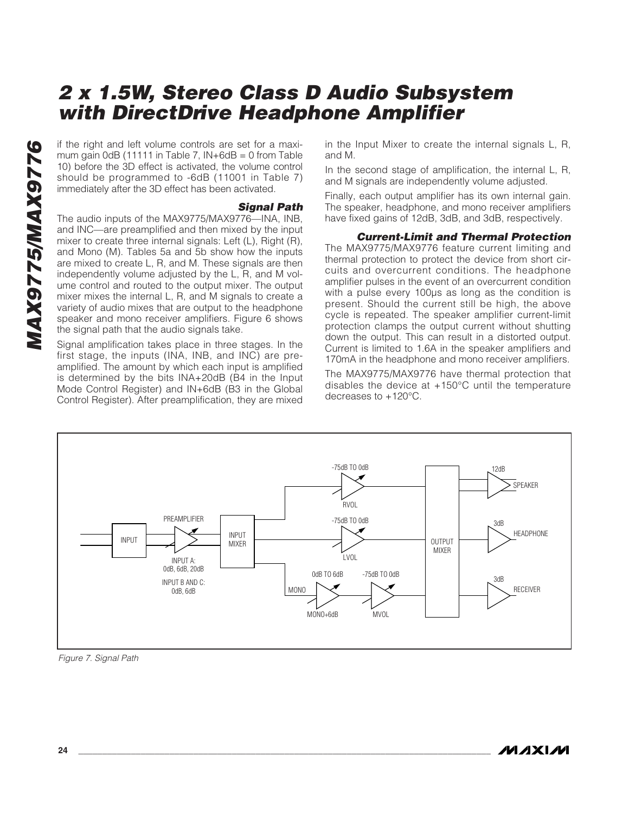mum gain 0dB (11111 in Table 7,  $IN+6dB = 0$  from Table 10) before the 3D effect is activated, the volume control should be programmed to -6dB (11001 in Table 7) immediately after the 3D effect has been activated.

#### **Signal Path**

If the right and left volume controls are set for a maxi-<br>
10) before the 3D effect is activated, the volume control<br>
should be programed to -6dB (11001 in Table 7)<br>
immediately after the 3D effect has been activated.<br>
The The audio inputs of the MAX9775/MAX9776—INA, INB, and INC—are preamplified and then mixed by the input mixer to create three internal signals: Left (L), Right (R), and Mono (M). Tables 5a and 5b show how the inputs are mixed to create L, R, and M. These signals are then independently volume adjusted by the L, R, and M volume control and routed to the output mixer. The output mixer mixes the internal L, R, and M signals to create a variety of audio mixes that are output to the headphone speaker and mono receiver amplifiers. Figure 6 shows the signal path that the audio signals take.

Signal amplification takes place in three stages. In the first stage, the inputs (INA, INB, and INC) are preamplified. The amount by which each input is amplified is determined by the bits INA+20dB (B4 in the Input Mode Control Register) and IN+6dB (B3 in the Global Control Register). After preamplification, they are mixed in the Input Mixer to create the internal signals L, R, and M.

In the second stage of amplification, the internal L, R, and M signals are independently volume adjusted.

Finally, each output amplifier has its own internal gain. The speaker, headphone, and mono receiver amplifiers have fixed gains of 12dB, 3dB, and 3dB, respectively.

#### **Current-Limit and Thermal Protection**

The MAX9775/MAX9776 feature current limiting and thermal protection to protect the device from short circuits and overcurrent conditions. The headphone amplifier pulses in the event of an overcurrent condition with a pulse every 100µs as long as the condition is present. Should the current still be high, the above cycle is repeated. The speaker amplifier current-limit protection clamps the output current without shutting down the output. This can result in a distorted output. Current is limited to 1.6A in the speaker amplifiers and 170mA in the headphone and mono receiver amplifiers.

The MAX9775/MAX9776 have thermal protection that disables the device at +150°C until the temperature decreases to +120°C.



Figure 7. Signal Path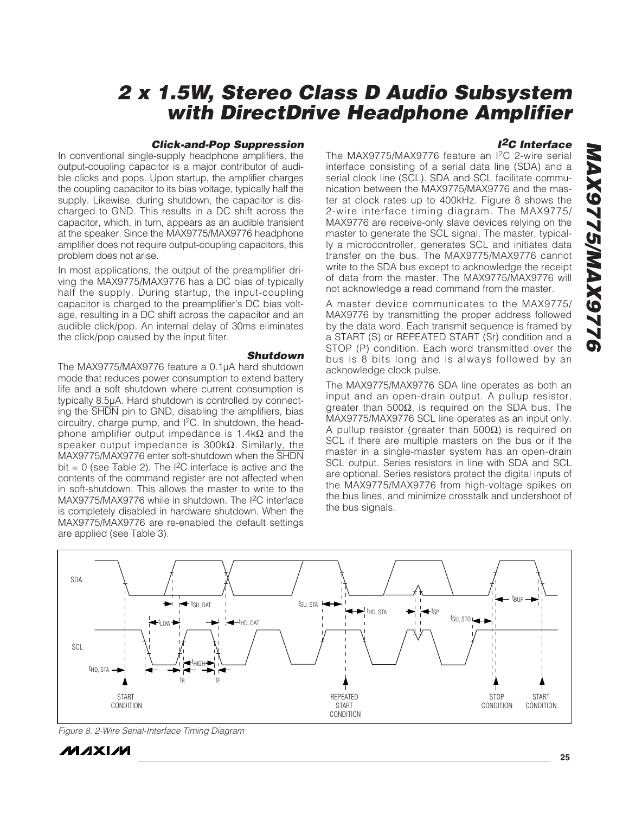#### **Click-and-Pop Suppression**

In conventional single-supply headphone amplifiers, the output-coupling capacitor is a major contributor of audible clicks and pops. Upon startup, the amplifier charges the coupling capacitor to its bias voltage, typically half the supply. Likewise, during shutdown, the capacitor is discharged to GND. This results in a DC shift across the capacitor, which, in turn, appears as an audible transient at the speaker. Since the MAX9775/MAX9776 headphone amplifier does not require output-coupling capacitors, this problem does not arise.

In most applications, the output of the preamplifier driving the MAX9775/MAX9776 has a DC bias of typically half the supply. During startup, the input-coupling capacitor is charged to the preamplifier's DC bias voltage, resulting in a DC shift across the capacitor and an audible click/pop. An internal delay of 30ms eliminates the click/pop caused by the input filter.

#### **Shutdown**

The MAX9775/MAX9776 feature a 0.1µA hard shutdown mode that reduces power consumption to extend battery life and a soft shutdown where current consumption is typically 8.5µA. Hard shutdown is controlled by connecting the SHDN pin to GND, disabling the amplifiers, bias circuitry, charge pump, and I2C. In shutdown, the headphone amplifier output impedance is 1.4k $\Omega$  and the speaker output impedance is 300kΩ. Similarly, the MAX9775/MAX9776 enter soft-shutdown when the SHDN bit = 0 (see Table 2). The  $^{12}$ C interface is active and the contents of the command register are not affected when in soft-shutdown. This allows the master to write to the MAX9775/MAX9776 while in shutdown. The I2C interface is completely disabled in hardware shutdown. When the MAX9775/MAX9776 are re-enabled the default settings are applied (see Table 3).

#### **I2C Interface**

The MAX9775/MAX9776 feature an I2C 2-wire serial interface consisting of a serial data line (SDA) and a serial clock line (SCL). SDA and SCL facilitate communication between the MAX9775/MAX9776 and the master at clock rates up to 400kHz. Figure 8 shows the 2-wire interface timing diagram. The MAX9775/ MAX9776 are receive-only slave devices relying on the master to generate the SCL signal. The master, typically a microcontroller, generates SCL and initiates data transfer on the bus. The MAX9775/MAX9776 cannot write to the SDA bus except to acknowledge the receipt of data from the master. The MAX9775/MAX9776 will not acknowledge a read command from the master.

A master device communicates to the MAX9775/ MAX9776 by transmitting the proper address followed by the data word. Each transmit sequence is framed by a START (S) or REPEATED START (Sr) condition and a STOP (P) condition. Each word transmitted over the bus is 8 bits long and is always followed by an acknowledge clock pulse.

The MAX9775/MAX9776 SDA line operates as both an input and an open-drain output. A pullup resistor, greater than 500Ω, is required on the SDA bus. The MAX9775/MAX9776 SCL line operates as an input only. A pullup resistor (greater than 500Ω) is required on SCL if there are multiple masters on the bus or if the master in a single-master system has an open-drain SCL output. Series resistors in line with SDA and SCL are optional. Series resistors protect the digital inputs of the MAX9775/MAX9776 from high-voltage spikes on the bus lines, and minimize crosstalk and undershoot of the bus signals.



Figure 8. 2-Wire Serial-Interface Timing Diagram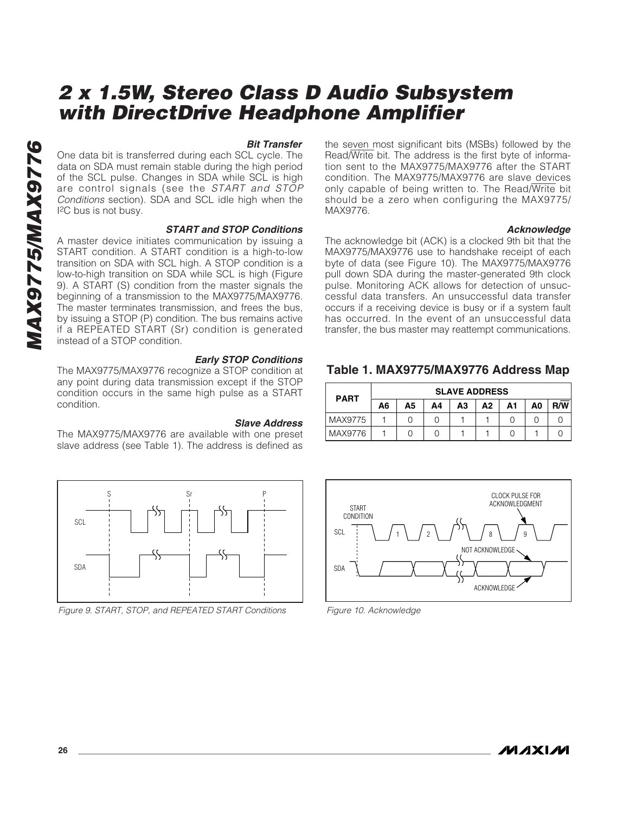#### **Bit Transfer**

One data bit is transferred during each SCL cycle. The data on SDA must remain stable during the high period of the SCL pulse. Changes in SDA while SCL is high are control signals (see the START and STOP Conditions section). SDA and SCL idle high when the I2C bus is not busy.

#### **START and STOP Conditions**

A master device initiates communication by issuing a START condition. A START condition is a high-to-low transition on SDA with SCL high. A STOP condition is a low-to-high transition on SDA while SCL is high (Figure 9). A START (S) condition from the master signals the beginning of a transmission to the MAX9775/MAX9776. The master terminates transmission, and frees the bus, by issuing a STOP (P) condition. The bus remains active if a REPEATED START (Sr) condition is generated instead of a STOP condition.

#### **Early STOP Conditions**

The MAX9775/MAX9776 recognize a STOP condition at any point during data transmission except if the STOP condition occurs in the same high pulse as a START condition.

#### **Slave Address**

The MAX9775/MAX9776 are available with one preset slave address (see Table 1). The address is defined as



Figure 9. START, STOP, and REPEATED START Conditions

the seven most significant bits (MSBs) followed by the Read/Write bit. The address is the first byte of information sent to the MAX9775/MAX9776 after the START condition. The MAX9775/MAX9776 are slave devices only capable of being written to. The Read/Write bit should be a zero when configuring the MAX9775/ MAX9776.

#### **Acknowledge**

The acknowledge bit (ACK) is a clocked 9th bit that the MAX9775/MAX9776 use to handshake receipt of each byte of data (see Figure 10). The MAX9775/MAX9776 pull down SDA during the master-generated 9th clock pulse. Monitoring ACK allows for detection of unsuccessful data transfers. An unsuccessful data transfer occurs if a receiving device is busy or if a system fault has occurred. In the event of an unsuccessful data transfer, the bus master may reattempt communications.

## **Table 1. MAX9775/MAX9776 Address Map**

| <b>SLAVE ADDRESS</b><br><b>PART</b> |    |    |    |    |    |    |    |            |
|-------------------------------------|----|----|----|----|----|----|----|------------|
|                                     | A6 | А5 | Α4 | А3 | А2 | A1 | A0 | <b>R/W</b> |
| MAX9775                             |    |    |    |    |    |    |    |            |
| MAX9776                             |    |    |    |    |    |    |    |            |



Figure 10. Acknowledge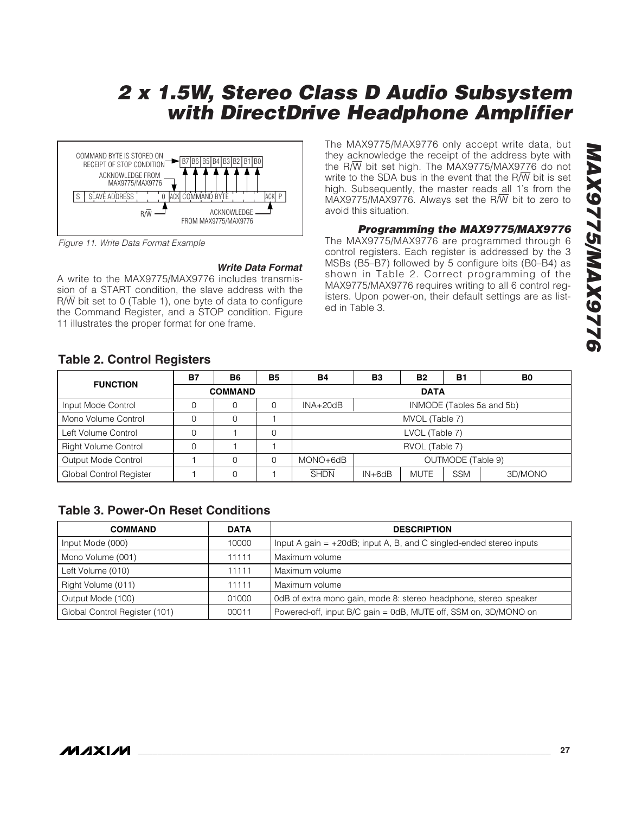

Figure 11. Write Data Format Example

**Write Data Format**

A write to the MAX9775/MAX9776 includes transmission of a START condition, the slave address with the  $R/\overline{W}$  bit set to 0 (Table 1), one byte of data to configure the Command Register, and a STOP condition. Figure 11 illustrates the proper format for one frame.

The MAX9775/MAX9776 only accept write data, but they acknowledge the receipt of the address byte with the R/W bit set high. The MAX9775/MAX9776 do not write to the SDA bus in the event that the  $R/\overline{W}$  bit is set high. Subsequently, the master reads all 1's from the MAX9775/MAX9776. Always set the R/W bit to zero to avoid this situation.

## **Programming the MAX9775/MAX9776**

The MAX9775/MAX9776 are programmed through 6 control registers. Each register is addressed by the 3 MSBs (B5–B7) followed by 5 configure bits (B0–B4) as shown in Table 2. Correct programming of the MAX9775/MAX9776 requires writing to all 6 control registers. Upon power-on, their default settings are as listed in Table 3.

## **Table 2. Control Registers**

|                             | <b>B7</b> | <b>B6</b>      | <b>B5</b> | <b>B4</b>                                                         | B <sub>3</sub>    | <b>B2</b> | B <sub>1</sub> | B <sub>0</sub> |  |  |
|-----------------------------|-----------|----------------|-----------|-------------------------------------------------------------------|-------------------|-----------|----------------|----------------|--|--|
| <b>FUNCTION</b>             |           | <b>COMMAND</b> |           |                                                                   | <b>DATA</b>       |           |                |                |  |  |
| Input Mode Control          | 0         | 0              | 0         | INMODE (Tables 5a and 5b)<br>$INA+20dB$                           |                   |           |                |                |  |  |
| Mono Volume Control         |           | 0              |           | MVOL (Table 7)                                                    |                   |           |                |                |  |  |
| Left Volume Control         |           |                | $\Omega$  |                                                                   | LVOL (Table 7)    |           |                |                |  |  |
| <b>Right Volume Control</b> |           |                |           |                                                                   | RVOL (Table 7)    |           |                |                |  |  |
| Output Mode Control         |           | O              |           | $MONO + 6dB$                                                      | OUTMODE (Table 9) |           |                |                |  |  |
| Global Control Register     |           | 0              |           | <b>SHDN</b><br><b>MUTE</b><br><b>SSM</b><br>$IN + 6dB$<br>3D/MONO |                   |           |                |                |  |  |

## **Table 3. Power-On Reset Conditions**

| <b>COMMAND</b>                | <b>DATA</b> | <b>DESCRIPTION</b>                                                     |
|-------------------------------|-------------|------------------------------------------------------------------------|
| Input Mode (000)              | 10000       | Input A gain $= +20$ dB; input A, B, and C singled-ended stereo inputs |
| Mono Volume (001)             | 11111       | Maximum volume                                                         |
| Left Volume (010)             | 11111       | Maximum volume                                                         |
| Right Volume (011)            | 11111       | Maximum volume                                                         |
| Output Mode (100)             | 01000       | 0dB of extra mono gain, mode 8: stereo headphone, stereo speaker       |
| Global Control Register (101) | 00011       | Powered-off, input B/C gain = 0dB, MUTE off, SSM on, 3D/MONO on        |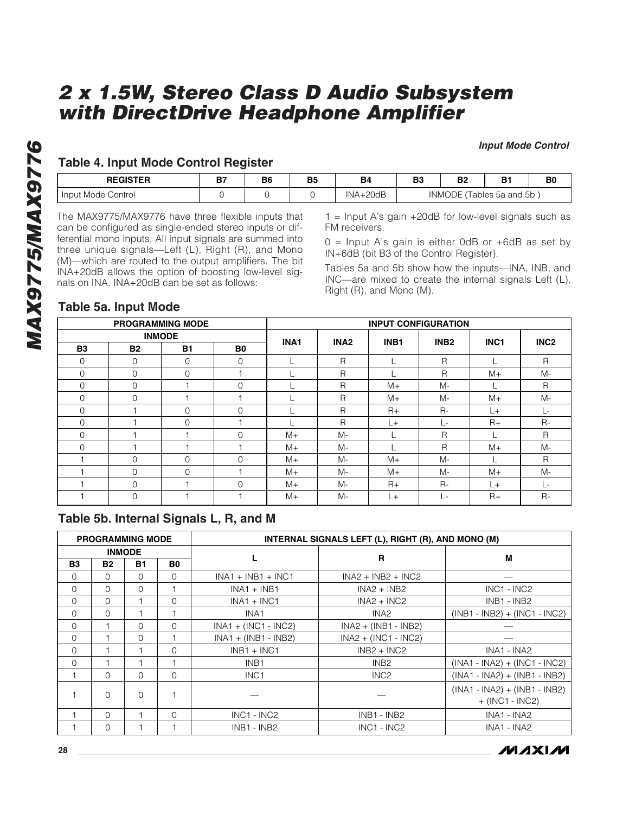#### **Input Mode Control**

## **Table 4. Input Mode Control Register**

| <b>REGISTER</b><br>_____                 | דה<br>-- | B <sub>6</sub><br>__ | B5 | B <sub>4</sub>       | B <sub>3</sub>                         | D0<br>D. | D.<br>◡ | B <sub>0</sub> |
|------------------------------------------|----------|----------------------|----|----------------------|----------------------------------------|----------|---------|----------------|
| Control<br>Mode<br><b>Input</b><br>_____ |          |                      |    | INL<br>20dB<br>$  -$ | 5a and 5b<br>≻<br>INMC<br>ables<br>$-$ |          |         |                |

**MAX9775/MAX9776** have three flexible inputs that<br>
The MAX9775/MAX9776 have three flexible inputs that<br>
can be configured as single-ended stereo inputs or dif-<br>
ferential mono inputs. All input signals are summed into<br>
thr can be configured as single-ended stereo inputs or differential mono inputs. All input signals are summed into three unique signals—Left (L), Right (R), and Mono (M)—which are routed to the output amplifiers. The bit INA+20dB allows the option of boosting low-level signals on INA. INA+20dB can be set as follows:

 $1 =$  Input A's gain  $+20$ dB for low-level signals such as FM receivers.

 $0 =$  Input A's gain is either OdB or +6dB as set by IN+6dB (bit B3 of the Control Register).

Tables 5a and 5b show how the inputs—INA, INB, and INC—are mixed to create the internal signals Left (L), Right (R), and Mono (M).

## **Table 5a. Input Mode**

|             | <b>PROGRAMMING MODE</b> |              |                | <b>INPUT CONFIGURATION</b> |                  |                  |                      |                  |                  |
|-------------|-------------------------|--------------|----------------|----------------------------|------------------|------------------|----------------------|------------------|------------------|
|             | <b>INMODE</b>           |              |                | INA1                       | INA <sub>2</sub> | INB <sub>1</sub> | INB <sub>2</sub>     | INC <sub>1</sub> | INC <sub>2</sub> |
| <b>B3</b>   | <b>B2</b>               | <b>B1</b>    | B <sub>0</sub> |                            |                  |                  |                      |                  |                  |
| $\Omega$    | $\Omega$                | $\mathbf 0$  | $\Omega$       |                            | $\mathsf{R}$     |                  | R                    |                  | $\mathsf{R}$     |
| $\Omega$    | 0                       | $\Omega$     |                |                            | $\mathsf{R}$     |                  | R                    | $M+$             | M-               |
| $\Omega$    | $\Omega$                |              | $\Omega$       |                            | $\mathsf{R}$     | $M+$             | M-                   |                  | $\mathsf{R}$     |
| $\Omega$    | $\Omega$                |              |                |                            | $\mathsf{R}$     | $M +$            | M-                   | $M+$             | M-               |
| $\mathbf 0$ |                         | 0            | 0              |                            | $\mathsf{R}$     | $R+$             | $R -$                | L+               | Ŀ                |
| $\Omega$    |                         | $\Omega$     |                |                            | $\mathsf{R}$     | L+               | $L^{\pm}$            | $R+$             | $R -$            |
| $\Omega$    |                         |              | $\Omega$       | $M+$                       | M-               |                  | R                    |                  | R                |
| $\Omega$    |                         |              |                | $M+$                       | M-               |                  | $\mathsf{R}$         | $M+$             | M-               |
|             | $\Omega$                | $\mathbf{0}$ | $\Omega$       | $M+$                       | M-               | $M +$            | $M -$                |                  | $\mathsf{R}$     |
|             | 0                       | $\Omega$     |                | $M+$                       | M-               | $M+$             | M-                   | $M+$             | M-               |
|             | $\Omega$                |              | $\Omega$       | $M+$                       | M-               | $R+$             | $R -$                | L+               | $\mathbb{L}^+$ . |
|             | 0                       |              |                | $M+$                       | M-               | L+               | $\mathbb{L}^{\perp}$ | $R+$             | $R-$             |

## **Table 5b. Internal Signals L, R, and M**

|           |             | <b>PROGRAMMING MODE</b> |          |                        | INTERNAL SIGNALS LEFT (L), RIGHT (R), AND MONO (M) |                                                      |
|-----------|-------------|-------------------------|----------|------------------------|----------------------------------------------------|------------------------------------------------------|
|           |             | <b>INMODE</b>           |          |                        | R                                                  | м                                                    |
| <b>B3</b> | <b>B2</b>   | <b>B1</b>               | B0       |                        |                                                    |                                                      |
| $\Omega$  | $\Omega$    | $\Omega$                | $\Omega$ | $INA1 + INB1 + INC1$   | $INA2 + INB2 + INC2$                               |                                                      |
| $\Omega$  | $\Omega$    | $\Omega$                |          | $INA1 + INB1$          | $INA2 + INB2$                                      | $INC1 - INC2$                                        |
| $\Omega$  | $\Omega$    |                         | $\Omega$ | $INA1 + INC1$          | $INA2 + INC2$                                      | INB1 - INB2                                          |
| $\Omega$  | $\Omega$    |                         |          | INA <sub>1</sub>       | INA <sub>2</sub>                                   | $(INB1 - INB2) + (INC1 - INC2)$                      |
| $\Omega$  |             | <sup>0</sup>            | $\Omega$ | $INA1 + (INC1 - INC2)$ | $INA2 + (INB1 - INB2)$                             |                                                      |
| $\Omega$  |             | 0                       |          | $INA1 + (INB1 - INB2)$ | $INA2 + (INC1 - INC2)$                             |                                                      |
| $\Omega$  |             |                         | $\Omega$ | $INB1 + INC1$          | $INB2 + INC2$                                      | INA1 - INA2                                          |
| $\Omega$  |             |                         |          | INB <sub>1</sub>       | INB <sub>2</sub>                                   | $(INA1 - INA2) + (INC1 - INC2)$                      |
|           | $\Omega$    | <sup>n</sup>            | $\Omega$ | INC <sub>1</sub>       | INC <sub>2</sub>                                   | $(INA1 - INA2) + (INA1 - INB2)$                      |
|           | $\Omega$    | $\Omega$                |          |                        |                                                    | $(INA1 - INA2) + (INB1 - INB2)$<br>$+$ (INC1 - INC2) |
|           | $\Omega$    |                         | $\Omega$ | INC1 - INC2            | INB1 - INB2                                        | INA1 - INA2                                          |
|           | $\mathbf 0$ |                         |          | INB1 - INB2            | $INC1 - INC2$                                      | INA1 - INA2                                          |

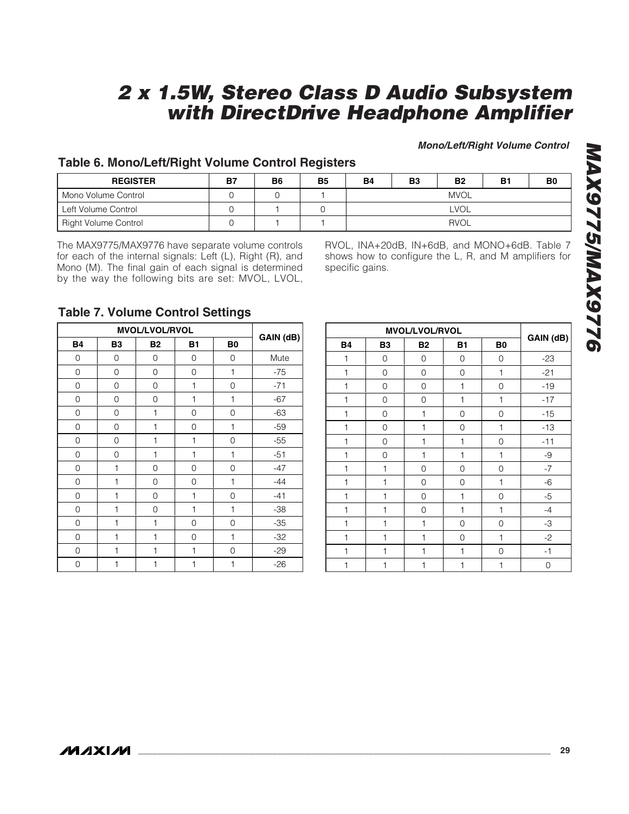**Mono/Left/Right Volume Control**

## **Table 6. Mono/Left/Right Volume Control Registers**

| <b>REGISTER</b>      | <b>B7</b> | B6 | <b>B5</b> | <b>B4</b>   | <b>B3</b> | <b>B2</b>   | В1 | B0 |
|----------------------|-----------|----|-----------|-------------|-----------|-------------|----|----|
| Mono Volume Control  |           |    |           |             |           | <b>MVOL</b> |    |    |
| Left Volume Control  |           |    |           | <b>LVOL</b> |           |             |    |    |
| Right Volume Control |           |    |           | <b>RVOL</b> |           |             |    |    |

The MAX9775/MAX9776 have separate volume controls for each of the internal signals: Left (L), Right (R), and Mono (M). The final gain of each signal is determined by the way the following bits are set: MVOL, LVOL,

RVOL, INA+20dB, IN+6dB, and MONO+6dB. Table 7 shows how to configure the L, R, and M amplifiers for specific gains.

## **Table 7. Volume Control Settings**

|           | <b>MVOL/LVOL/RVOL</b> |           |              |                |           |  |  |  |  |  |  |
|-----------|-----------------------|-----------|--------------|----------------|-----------|--|--|--|--|--|--|
| <b>B4</b> | B <sub>3</sub>        | <b>B2</b> | <b>B1</b>    | B <sub>0</sub> | GAIN (dB) |  |  |  |  |  |  |
| 0         | 0                     | 0         | 0            | 0              | Mute      |  |  |  |  |  |  |
| 0         | 0                     | 0         | 0            | 1              | $-75$     |  |  |  |  |  |  |
| 0         | 0                     | 0         | 1            | 0              | $-71$     |  |  |  |  |  |  |
| 0         | 0                     | 0         | $\mathbf{1}$ | 1              | $-67$     |  |  |  |  |  |  |
| 0         | 0                     | 1         | 0            | 0              | $-63$     |  |  |  |  |  |  |
| 0         | 0                     | 1         | 0            | 1              | $-59$     |  |  |  |  |  |  |
| 0         | 0                     | 1         | $\mathbf{1}$ | 0              | $-55$     |  |  |  |  |  |  |
| 0         | 0                     | 1         | $\mathbf{1}$ | 1              | $-51$     |  |  |  |  |  |  |
| 0         | $\mathbf{1}$          | 0         | 0            | 0              | $-47$     |  |  |  |  |  |  |
| 0         | 1                     | 0         | 0            | 1              | $-44$     |  |  |  |  |  |  |
| 0         | 1                     | 0         | 1            | 0              | $-41$     |  |  |  |  |  |  |
| 0         | 1                     | 0         | 1            | 1              | $-38$     |  |  |  |  |  |  |
| 0         | 1                     | 1         | 0            | 0              | $-35$     |  |  |  |  |  |  |
| 0         | $\mathbf{1}$          | 1         | 0            | 1              | $-32$     |  |  |  |  |  |  |
| 0         | $\mathbf{1}$          | 1         | $\mathbf{1}$ | 0              | $-29$     |  |  |  |  |  |  |
| 0         | 1                     | 1         | 1            | 1              | $-26$     |  |  |  |  |  |  |

|              | MVOL/LVOL/RVOL |             |                |                |           |  |  |  |  |  |  |  |
|--------------|----------------|-------------|----------------|----------------|-----------|--|--|--|--|--|--|--|
| <b>B4</b>    | <b>B3</b>      | <b>B2</b>   | <b>B1</b>      | B <sub>0</sub> | GAIN (dB) |  |  |  |  |  |  |  |
| 1            | 0              | $\mathbf 0$ | 0              | 0              | $-23$     |  |  |  |  |  |  |  |
| $\mathbf{1}$ | 0              | $\mathbf 0$ | 0              | 1              | $-21$     |  |  |  |  |  |  |  |
| 1            | 0              | 0           | 1              | 0              | $-19$     |  |  |  |  |  |  |  |
| 1            | 0              | 0           | 1              | 1              | $-17$     |  |  |  |  |  |  |  |
| 1            | 0              | 1           | 0              | 0              | $-15$     |  |  |  |  |  |  |  |
| $\mathbf{1}$ | 0              | 1           | 0              | 1              | $-13$     |  |  |  |  |  |  |  |
| 1            | 0              | 1           | 1              | 0              | $-11$     |  |  |  |  |  |  |  |
| 1            | 0              | 1           | 1              | 1              | -9        |  |  |  |  |  |  |  |
| 1            | 1              | 0           | 0              | 0              | $-7$      |  |  |  |  |  |  |  |
| 1            | $\mathbf{1}$   | 0           | 0              | 1              | $-6$      |  |  |  |  |  |  |  |
| $\mathbf{1}$ | 1              | 0           | 1              | 0              | $-5$      |  |  |  |  |  |  |  |
| 1            | 1              | 0           | 1              | 1              | $-4$      |  |  |  |  |  |  |  |
| 1            | 1              | 1           | 0              | 0              | -3        |  |  |  |  |  |  |  |
| 1            | $\mathbf{1}$   | 1           | $\overline{0}$ | 1              | $-2$      |  |  |  |  |  |  |  |
| 1            | $\mathbf{1}$   | 1           | 1              | 0              | $-1$      |  |  |  |  |  |  |  |
| 1            | 1              | 1           | 1              | 1              | 0         |  |  |  |  |  |  |  |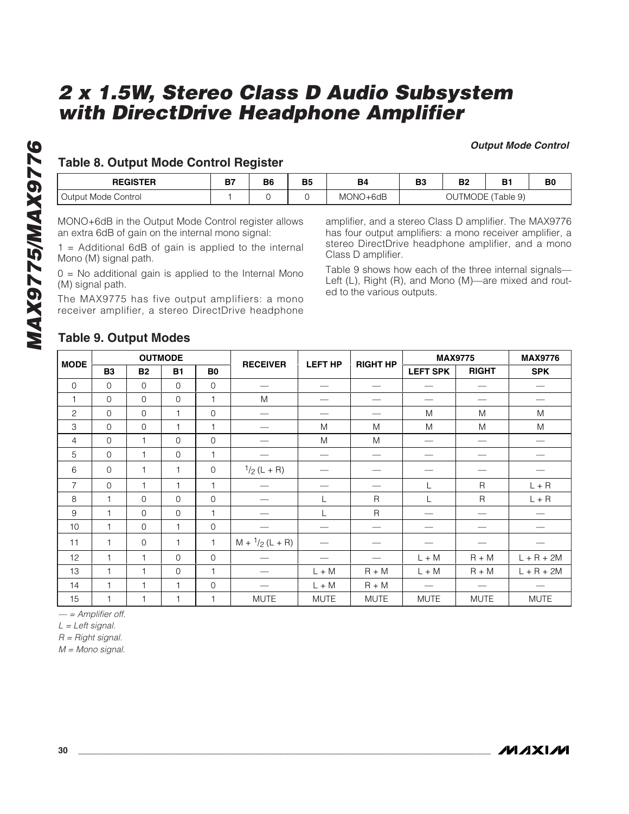#### **Output Mode Control**

## **Table 8. Output Mode Control Register**

| <b>REGISTER</b>                                                                                 | B7                                                                                                                                                                                                                                                                            | <b>B6</b> | <b>B5</b> | <b>B4</b> | <b>B3</b> | <b>B2</b> | <b>B1</b>                                                                                                                                                                                                                                                                                  | B0 |
|-------------------------------------------------------------------------------------------------|-------------------------------------------------------------------------------------------------------------------------------------------------------------------------------------------------------------------------------------------------------------------------------|-----------|-----------|-----------|-----------|-----------|--------------------------------------------------------------------------------------------------------------------------------------------------------------------------------------------------------------------------------------------------------------------------------------------|----|
| Output Mode Control                                                                             |                                                                                                                                                                                                                                                                               | $\Omega$  | $\Omega$  | MONO+6dB  |           |           | OUTMODE (Table 9)                                                                                                                                                                                                                                                                          |    |
| Mono (M) signal path.<br>(M) signal path.<br>receiver amplifier, a stereo DirectDrive headphone | MONO+6dB in the Output Mode Control register allows<br>an extra 6dB of gain on the internal mono signal:<br>= Additional 6dB of gain is applied to the internal<br>$0 =$ No additional gain is applied to the Internal Mono<br>The MAX9775 has five output amplifiers: a mono |           |           |           |           |           | amplifier, and a stereo Class D amplifier. The MAX9776<br>has four output amplifiers: a mono receiver amplifier, a<br>stereo DirectDrive headphone amplifier, and a mono<br>Table 9 shows how each of the three internal signals-<br>Left (L), Right (R), and Mono (M)—are mixed and rout- |    |

## **Table 9. Output Modes**

| <b>MODE</b>               |                |              | <b>OUTMODE</b> |                     | <b>RECEIVER</b>          | <b>LEFT HP</b> | <b>RIGHT HP</b>               | <b>MAX9775</b>  |              | <b>MAX9776</b> |
|---------------------------|----------------|--------------|----------------|---------------------|--------------------------|----------------|-------------------------------|-----------------|--------------|----------------|
|                           | <b>B3</b>      | <b>B2</b>    | <b>B1</b>      | B0                  |                          |                |                               | <b>LEFT SPK</b> | <b>RIGHT</b> | <b>SPK</b>     |
| $\mathbf 0$               | $\mathbf 0$    | $\mathbf 0$  | $\mathbf 0$    | $\mathbf{0}$        |                          |                | $\overbrace{\phantom{12333}}$ |                 |              |                |
| $\mathbf{1}$              | $\mathbf 0$    | $\mathbf 0$  | $\mathbf 0$    | $\mathbf{1}$        | M                        |                |                               |                 |              |                |
| $\mathbf{2}$              | $\mathbf 0$    | $\mathbf 0$  | $\mathbf{1}$   | $\mathbf{O}$        |                          |                | —<br>——                       | M               | M            | M              |
| $\ensuremath{\mathsf{3}}$ | $\mathbf 0$    | $\mathbf 0$  | $\mathbf{1}$   | $\mathbf{1}$        |                          | M              | M                             | M               | M            | M              |
| 4                         | $\mathbf 0$    | $\mathbf{1}$ | $\mathbf 0$    | $\mathsf{O}\xspace$ |                          | M              | M                             |                 |              |                |
| 5                         | $\mathbf 0$    | $\mathbf{1}$ | $\mathbf 0$    | $\mathbf{1}$        |                          |                |                               |                 |              |                |
| 6                         | $\mathbf 0$    | $\mathbf{1}$ | 1              | $\mathbf{0}$        | $1/2$ (L + R)            |                |                               |                 |              |                |
| $\overline{7}$            | $\mathbf 0$    | $\mathbf{1}$ | $\mathbf{1}$   | 1                   |                          |                |                               | L               | $\mathsf{R}$ | $L + R$        |
| $\,8\,$                   | 1              | $\mathbf 0$  | $\mathbf 0$    | $\mathbf{O}$        |                          | L              | R                             | L               | $\mathsf{R}$ | $L + R$        |
| $\boldsymbol{9}$          | $\overline{1}$ | $\mathbf 0$  | $\mathbf 0$    | $\mathbf{1}$        |                          | L              | $\mathsf R$                   |                 |              |                |
| 10                        | 1              | $\mathbf 0$  | $\mathbf{1}$   | $\mathbf{O}$        |                          |                | -                             |                 |              |                |
| 11                        | $\mathbf{1}$   | $\mathbf 0$  | $\mathbf{1}$   | 1                   | $M + \frac{1}{2}(L + R)$ |                |                               |                 |              |                |
| 12                        | $\mathbf{1}$   | $\mathbf{1}$ | $\Omega$       | $\mathbf{O}$        |                          |                |                               | $L + M$         | $R + M$      | $L + R + 2M$   |
| 13                        | $\mathbf{1}$   | $\mathbf{1}$ | $\mathbf 0$    | 1                   |                          | $L + M$        | $R + M$                       | $L + M$         | $R + M$      | $L + R + 2M$   |
| 14                        | $\mathbf{1}$   | 1            | $\mathbf{1}$   | $\mathbf 0$         |                          | $L + M$        | $R + M$                       |                 |              |                |
| 15                        | 1              | 1            | $\mathbf{1}$   | 1                   | <b>MUTE</b>              | <b>MUTE</b>    | <b>MUTE</b>                   | <b>MUTE</b>     | <b>MUTE</b>  | <b>MUTE</b>    |

 $-$  = Amplifier off.

 $L = Left signal$ .

 $R =$  Right signal.

 $M =$  Mono signal.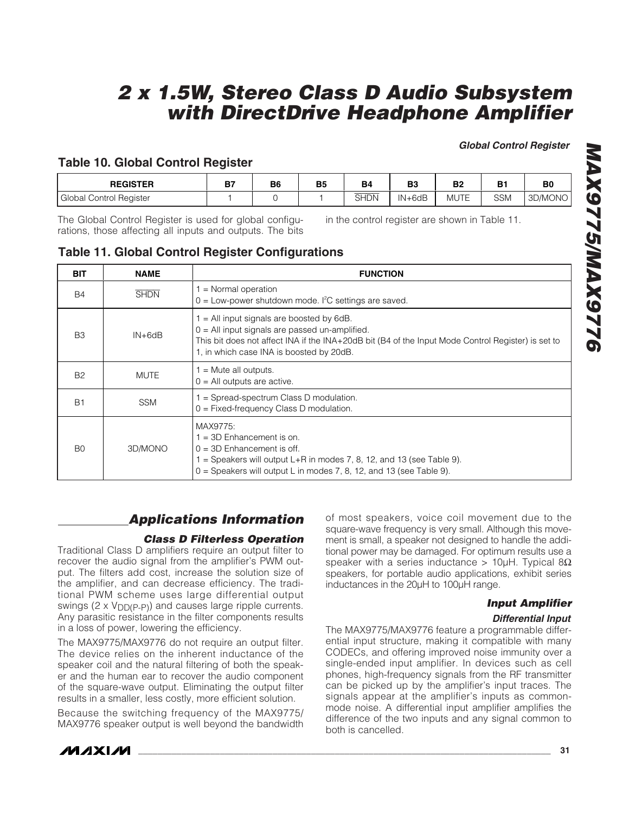**Global Control Register**

## **Table 10. Global Control Register**

| <b>REGISTER</b>              | 67<br>D. | B6 | <b>B5</b> | B <sub>4</sub> | D0<br>DЈ   | B2          | B <sup>1</sup> | B <sub>0</sub> |
|------------------------------|----------|----|-----------|----------------|------------|-------------|----------------|----------------|
| I Control Register<br>Global |          |    |           | _____<br>SHDN  | $IN + 6dB$ | <b>MUTE</b> | <b>SSM</b>     | 3D/MONO        |

The Global Control Register is used for global configurations, those affecting all inputs and outputs. The bits in the control register are shown in Table 11.

**Table 11. Global Control Register Configurations**

| <b>BIT</b>     | <b>NAME</b> | <b>FUNCTION</b>                                                                                                                                                                                                                                   |
|----------------|-------------|---------------------------------------------------------------------------------------------------------------------------------------------------------------------------------------------------------------------------------------------------|
| <b>B4</b>      | <b>SHDN</b> | $=$ Normal operation<br>$0 =$ Low-power shutdown mode. I <sup>2</sup> C settings are saved.                                                                                                                                                       |
| B <sub>3</sub> | $IN + 6dB$  | $1 =$ All input signals are boosted by 6dB.<br>$0 =$ All input signals are passed un-amplified.<br>This bit does not affect INA if the INA+20dB bit (B4 of the Input Mode Control Register) is set to<br>1, in which case INA is boosted by 20dB. |
| <b>B2</b>      | <b>MUTE</b> | $=$ Mute all outputs.<br>$0 =$ All outputs are active.                                                                                                                                                                                            |
| <b>B1</b>      | <b>SSM</b>  | = Spread-spectrum Class D modulation.<br>$0 =$ Fixed-frequency Class D modulation.                                                                                                                                                                |
| B <sub>0</sub> | 3D/MONO     | MAX9775:<br>$1 = 3D$ Enhancement is on.<br>$0 = 3D$ Enhancement is off.<br>$=$ Speakers will output L+R in modes 7, 8, 12, and 13 (see Table 9).<br>$0 =$ Speakers will output L in modes 7, 8, 12, and 13 (see Table 9).                         |

## **Applications Information**

## **Class D Filterless Operation**

Traditional Class D amplifiers require an output filter to recover the audio signal from the amplifier's PWM output. The filters add cost, increase the solution size of the amplifier, and can decrease efficiency. The traditional PWM scheme uses large differential output swings (2 x V<sub>DD</sub>(p-p)) and causes large ripple currents. Any parasitic resistance in the filter components results in a loss of power, lowering the efficiency.

The MAX9775/MAX9776 do not require an output filter. The device relies on the inherent inductance of the speaker coil and the natural filtering of both the speaker and the human ear to recover the audio component of the square-wave output. Eliminating the output filter results in a smaller, less costly, more efficient solution.

Because the switching frequency of the MAX9775/ MAX9776 speaker output is well beyond the bandwidth of most speakers, voice coil movement due to the square-wave frequency is very small. Although this movement is small, a speaker not designed to handle the additional power may be damaged. For optimum results use a speaker with a series inductance > 10 $\mu$ H. Typical 8 $\Omega$ speakers, for portable audio applications, exhibit series inductances in the 20µH to 100µH range.

## **Input Amplifier**

#### **Differential Input**

The MAX9775/MAX9776 feature a programmable differential input structure, making it compatible with many CODECs, and offering improved noise immunity over a single-ended input amplifier. In devices such as cell phones, high-frequency signals from the RF transmitter can be picked up by the amplifier's input traces. The signals appear at the amplifier's inputs as commonmode noise. A differential input amplifier amplifies the difference of the two inputs and any signal common to both is cancelled.

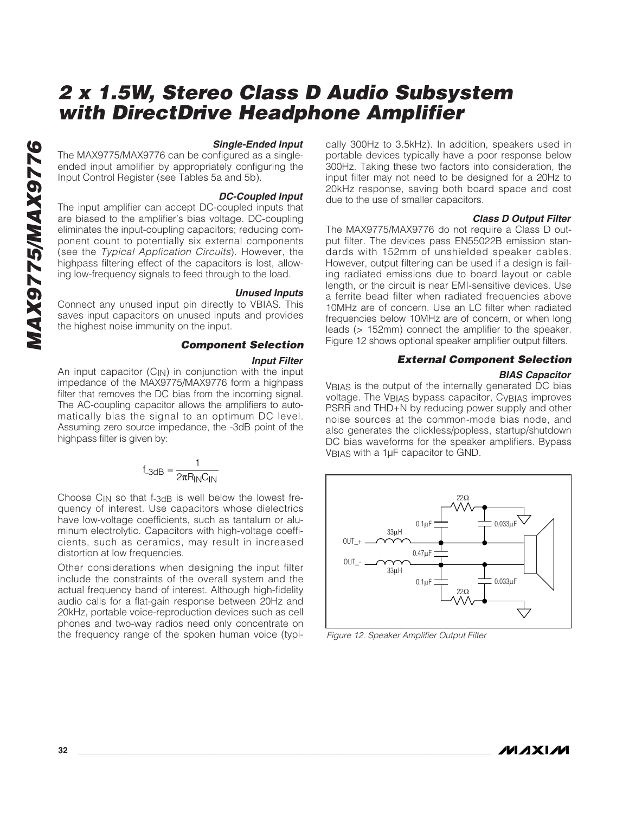#### **Single-Ended Input**

The MAX9775/MAX9776 can be configured as a singleended input amplifier by appropriately configuring the Input Control Register (see Tables 5a and 5b).

#### **DC-Coupled Input**

The input amplifier can accept DC-coupled inputs that are biased to the amplifier's bias voltage. DC-coupling eliminates the input-coupling capacitors; reducing component count to potentially six external components (see the Typical Application Circuits). However, the highpass filtering effect of the capacitors is lost, allowing low-frequency signals to feed through to the load.

#### **Unused Inputs**

Connect any unused input pin directly to VBIAS. This saves input capacitors on unused inputs and provides the highest noise immunity on the input.

#### **Component Selection**

#### **Input Filter**

An input capacitor  $(C_{\text{IN}})$  in conjunction with the input impedance of the MAX9775/MAX9776 form a highpass filter that removes the DC bias from the incoming signal. The AC-coupling capacitor allows the amplifiers to automatically bias the signal to an optimum DC level. Assuming zero source impedance, the -3dB point of the highpass filter is given by:

$$
f_{-3dB} = \frac{1}{2\pi R_{IN}C_{IN}}
$$

Choose  $C_{IN}$  so that f- $3dB$  is well below the lowest frequency of interest. Use capacitors whose dielectrics have low-voltage coefficients, such as tantalum or aluminum electrolytic. Capacitors with high-voltage coefficients, such as ceramics, may result in increased distortion at low frequencies.

Other considerations when designing the input filter include the constraints of the overall system and the actual frequency band of interest. Although high-fidelity audio calls for a flat-gain response between 20Hz and 20kHz, portable voice-reproduction devices such as cell phones and two-way radios need only concentrate on the frequency range of the spoken human voice (typi-

cally 300Hz to 3.5kHz). In addition, speakers used in portable devices typically have a poor response below 300Hz. Taking these two factors into consideration, the input filter may not need to be designed for a 20Hz to 20kHz response, saving both board space and cost due to the use of smaller capacitors.

#### **Class D Output Filter**

The MAX9775/MAX9776 do not require a Class D output filter. The devices pass EN55022B emission standards with 152mm of unshielded speaker cables. However, output filtering can be used if a design is failing radiated emissions due to board layout or cable length, or the circuit is near EMI-sensitive devices. Use a ferrite bead filter when radiated frequencies above 10MHz are of concern. Use an LC filter when radiated frequencies below 10MHz are of concern, or when long leads (> 152mm) connect the amplifier to the speaker. Figure 12 shows optional speaker amplifier output filters.

#### **External Component Selection**

#### **BIAS Capacitor**

V<sub>BIAS</sub> is the output of the internally generated DC bias voltage. The VBIAS bypass capacitor, CVBIAS improves PSRR and THD+N by reducing power supply and other noise sources at the common-mode bias node, and also generates the clickless/popless, startup/shutdown DC bias waveforms for the speaker amplifiers. Bypass VBIAS with a 1µF capacitor to GND.



Figure 12. Speaker Amplifier Output Filter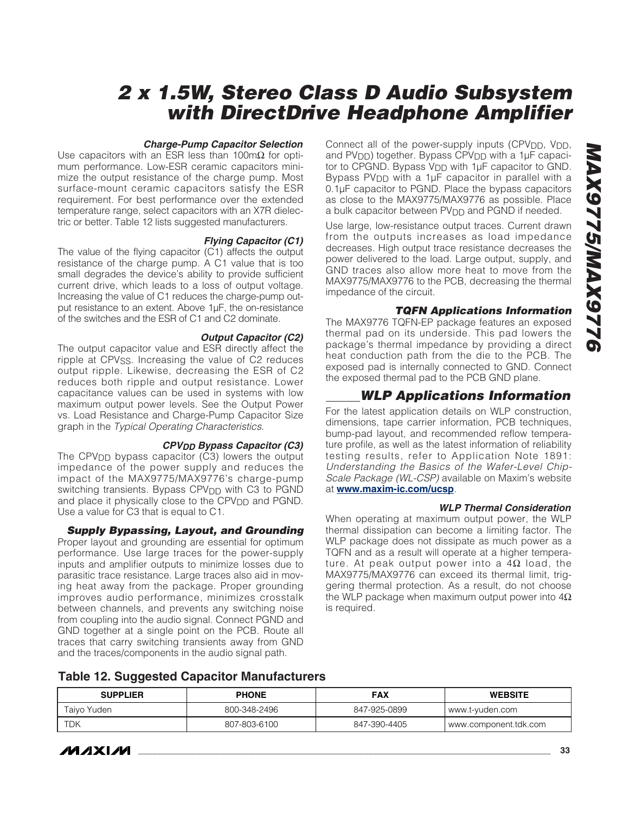#### **Charge-Pump Capacitor Selection**

Use capacitors with an ESR less than 100m $\Omega$  for optimum performance. Low-ESR ceramic capacitors minimize the output resistance of the charge pump. Most surface-mount ceramic capacitors satisfy the ESR requirement. For best performance over the extended temperature range, select capacitors with an X7R dielectric or better. Table 12 lists suggested manufacturers.

#### **Flying Capacitor (C1)**

The value of the flying capacitor (C1) affects the output resistance of the charge pump. A C1 value that is too small degrades the device's ability to provide sufficient current drive, which leads to a loss of output voltage. Increasing the value of C1 reduces the charge-pump output resistance to an extent. Above 1µF, the on-resistance of the switches and the ESR of C1 and C2 dominate.

#### **Output Capacitor (C2)**

The output capacitor value and ESR directly affect the ripple at CPV<sub>SS</sub>. Increasing the value of C2 reduces output ripple. Likewise, decreasing the ESR of C2 reduces both ripple and output resistance. Lower capacitance values can be used in systems with low maximum output power levels. See the Output Power vs. Load Resistance and Charge-Pump Capacitor Size graph in the Typical Operating Characteristics.

#### **CPVDD Bypass Capacitor (C3)**

The CPV<sub>DD</sub> bypass capacitor (C3) lowers the output impedance of the power supply and reduces the impact of the MAX9775/MAX9776's charge-pump switching transients. Bypass CPV<sub>DD</sub> with C3 to PGND and place it physically close to the CPV<sub>DD</sub> and PGND. Use a value for C3 that is equal to C1.

#### **Supply Bypassing, Layout, and Grounding**

Proper layout and grounding are essential for optimum performance. Use large traces for the power-supply inputs and amplifier outputs to minimize losses due to parasitic trace resistance. Large traces also aid in moving heat away from the package. Proper grounding improves audio performance, minimizes crosstalk between channels, and prevents any switching noise from coupling into the audio signal. Connect PGND and GND together at a single point on the PCB. Route all traces that carry switching transients away from GND and the traces/components in the audio signal path.

Connect all of the power-supply inputs (CPV<sub>DD</sub>, V<sub>DD</sub>, and  $PV<sub>DD</sub>$ ) together. Bypass  $CPV<sub>DD</sub>$  with a 1 $\mu$ F capacitor to CPGND. Bypass V<sub>DD</sub> with 1µF capacitor to GND. Bypass PV<sub>DD</sub> with a 1µF capacitor in parallel with a 0.1µF capacitor to PGND. Place the bypass capacitors as close to the MAX9775/MAX9776 as possible. Place a bulk capacitor between PV<sub>DD</sub> and PGND if needed.

Use large, low-resistance output traces. Current drawn from the outputs increases as load impedance decreases. High output trace resistance decreases the power delivered to the load. Large output, supply, and GND traces also allow more heat to move from the MAX9775/MAX9776 to the PCB, decreasing the thermal impedance of the circuit.

#### **TQFN Applications Information**

The MAX9776 TQFN-EP package features an exposed thermal pad on its underside. This pad lowers the package's thermal impedance by providing a direct heat conduction path from the die to the PCB. The exposed pad is internally connected to GND. Connect the exposed thermal pad to the PCB GND plane.

## **WLP Applications Information**

For the latest application details on WLP construction, dimensions, tape carrier information, PCB techniques, bump-pad layout, and recommended reflow temperature profile, as well as the latest information of reliability testing results, refer to Application Note 1891: Understanding the Basics of the Wafer-Level Chip-Scale Package (WL-CSP) available on Maxim's website at **www.maxim-ic.com/ucsp**.

#### **WLP Thermal Consideration**

When operating at maximum output power, the WLP thermal dissipation can become a limiting factor. The WLP package does not dissipate as much power as a TQFN and as a result will operate at a higher temperature. At peak output power into a  $4Ω$  load, the MAX9775/MAX9776 can exceed its thermal limit, triggering thermal protection. As a result, do not choose the WLP package when maximum output power into  $4\Omega$ is required.

#### **Table 12. Suggested Capacitor Manufacturers**

| <b>SUPPLIER</b> | <b>PHONE</b> | <b>FAX</b>   | <b>WEBSITE</b>        |
|-----------------|--------------|--------------|-----------------------|
| Taiyo Yuden     | 800-348-2496 | 847-925-0899 | www.t-yuden.com       |
| TDK             | 807-803-6100 | 847-390-4405 | www.component.tdk.com |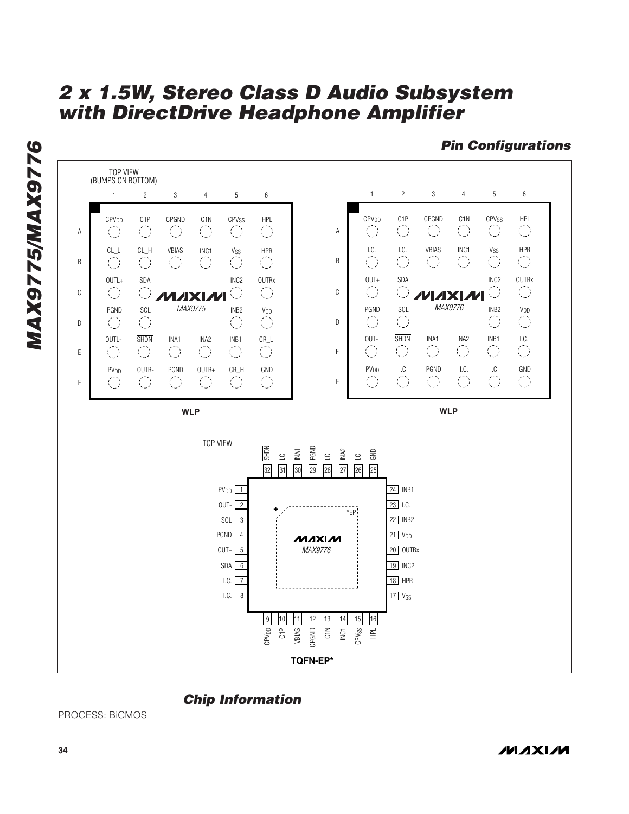

## **Chip Information**

PROCESS: BiCMOS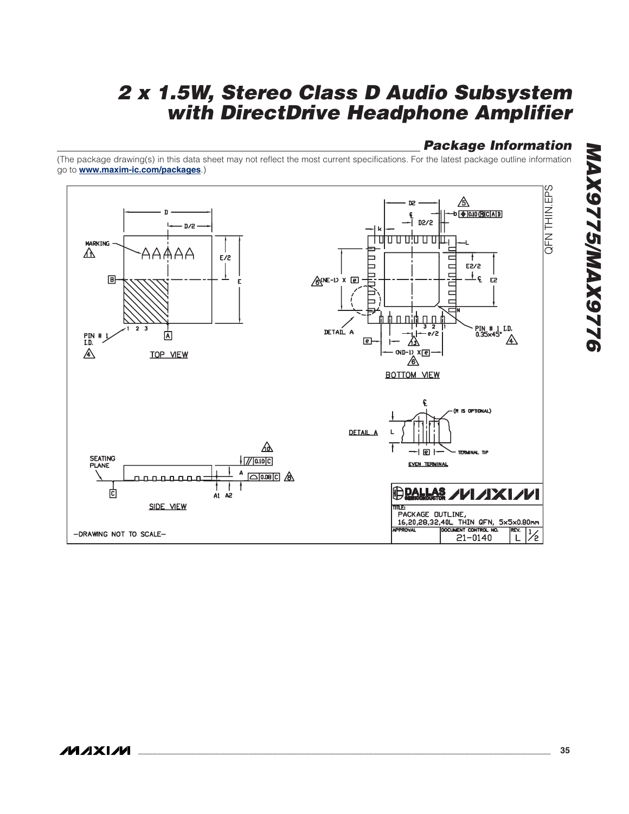## **Package Information**

(The package drawing(s) in this data sheet may not reflect the most current specifications. For the latest package outline information go to **www.maxim-ic.com/packages**.)

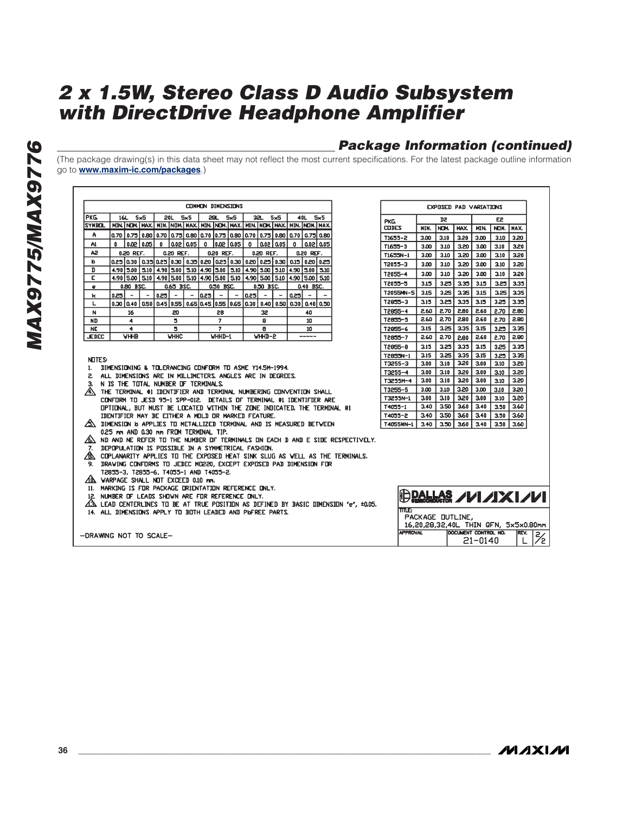## **Package Information (continued)**

(The package drawing(s) in this data sheet may not reflect the most current specifications. For the latest package outline information go to **www.maxim-ic.com/packages**.)

| COMMON DIMENSIONS                                                                                                                                                                                                                                                                                                                                                                         |                                                           |                                                                                                                                                                                              |                          |              |                          |  |           | <b>EXPOSED PAD VARIATIONS</b> |         |             |                                                                                                                                                                                          |                          |              |                          |                          |                |              |      |      |        |      |      |      |           |  |
|-------------------------------------------------------------------------------------------------------------------------------------------------------------------------------------------------------------------------------------------------------------------------------------------------------------------------------------------------------------------------------------------|-----------------------------------------------------------|----------------------------------------------------------------------------------------------------------------------------------------------------------------------------------------------|--------------------------|--------------|--------------------------|--|-----------|-------------------------------|---------|-------------|------------------------------------------------------------------------------------------------------------------------------------------------------------------------------------------|--------------------------|--------------|--------------------------|--------------------------|----------------|--------------|------|------|--------|------|------|------|-----------|--|
| PKG.                                                                                                                                                                                                                                                                                                                                                                                      |                                                           | $16L$ $5\times5$<br>$20L$ 5 $\times$ 5<br>28L 5x5<br>$32L$ $5\times5$<br>$40L$ 5x5<br>nin.   NDM,   MAX,   MIN,   NDM,   MAX,   MIN,   NDM,   MAX,   MIN,   MDM,   MAX,   MIN,   NDM,   MAX, |                          |              |                          |  |           |                               |         |             | PKG.                                                                                                                                                                                     |                          | D2           |                          |                          | E <sub>2</sub> |              |      |      |        |      |      |      |           |  |
| <b>SYMBOL</b>                                                                                                                                                                                                                                                                                                                                                                             |                                                           |                                                                                                                                                                                              |                          |              |                          |  |           |                               |         |             |                                                                                                                                                                                          |                          |              |                          |                          |                | <b>CODES</b> |      | MIN. | I NOM. | MAX. | MIN. |      | NOM. MAX. |  |
| A                                                                                                                                                                                                                                                                                                                                                                                         |                                                           |                                                                                                                                                                                              |                          |              |                          |  |           |                               |         |             | 0.70   0.75   0.80   0.70   0.75   0.80   0.70   0.75   0.80   0.70   0.75   0.80   0.70   0.75   0.80                                                                                   |                          |              |                          |                          |                | T1655-2      |      | 3.00 | 3.10   | 3.20 | 3.00 | 3.10 | 3.20      |  |
| A1                                                                                                                                                                                                                                                                                                                                                                                        | 0                                                         |                                                                                                                                                                                              | $0.02 \mid 0.05$         | $\mathbf{0}$ | 0.02   0.05              |  | $\Omega$  | 10.0210.05                    |         | $^{\circ}$  | 0.0210.05                                                                                                                                                                                |                          | $\mathbf{0}$ |                          | 0.02 0.05                |                | $T1655 - 3$  |      | 3.00 | 3.10   | 3.20 | 3.00 | 3.10 | 3,20      |  |
| A <sub>2</sub>                                                                                                                                                                                                                                                                                                                                                                            |                                                           | 0.20 REF.                                                                                                                                                                                    |                          |              | 0.20 REF.                |  |           | 0.20 REF.                     |         |             | 0.20 REF.                                                                                                                                                                                |                          |              | 0.20 REF.                |                          |                | T1655N-1     |      | 3.00 | 3.10   | 3.20 | 3.00 | 3.10 | 3.20      |  |
| b<br>D                                                                                                                                                                                                                                                                                                                                                                                    |                                                           |                                                                                                                                                                                              |                          |              |                          |  |           |                               |         |             | 0.25   0.30   0.35  0.25   0.30   0.35   0.20   0.25   0.30   0.26   0.36   0.36   0.26   0.25   0.25<br>4.90 5.00 5.10 4.90 5.00 5.10 4.90 5.00 5.10 4.90 5.00 5.10 4.90 5.00 5.00 5.00 |                          |              |                          |                          |                | T2055-3      |      | 3.00 | 3.10   | 3.20 | 3.00 | 3.10 | 3,20      |  |
| E                                                                                                                                                                                                                                                                                                                                                                                         |                                                           |                                                                                                                                                                                              |                          |              |                          |  |           |                               |         |             | 4.90 5.00 5.10 4.90 5.00 5.10 4.90 5.00 5.10 4.90 5.00 5.00 4.90 5.00 5.00 5.10                                                                                                          |                          |              |                          |                          |                | T2055-4      |      | 3.00 | 3.10   | 3.20 | 3.00 | 3.10 | 3,20      |  |
| ٠                                                                                                                                                                                                                                                                                                                                                                                         |                                                           | 0.80 BSC.                                                                                                                                                                                    |                          |              | 0.65 BSC.                |  |           | 0.50 BSC.                     |         |             | 0.50 BSC.                                                                                                                                                                                |                          |              | 0.40 BSC.                |                          |                | 12055-5      |      | 3.15 | 3.25   | 3.35 | 3.15 | 3.25 | 3.35      |  |
| к                                                                                                                                                                                                                                                                                                                                                                                         | 0.25                                                      | $\overline{\phantom{a}}$                                                                                                                                                                     | $\overline{\phantom{a}}$ | 0.25         | $\overline{\phantom{a}}$ |  |           | $- 0.25  -$                   | $\sim$  | l 0.25 l    | $\overline{\phantom{a}}$                                                                                                                                                                 | $\overline{\phantom{a}}$ | 0.25         | $\overline{\phantom{a}}$ | $\overline{\phantom{0}}$ |                | T2055MN-5    |      | 3.15 | 3.25   | 3.35 | 3.15 | 3.25 | 3.35      |  |
| L                                                                                                                                                                                                                                                                                                                                                                                         |                                                           |                                                                                                                                                                                              |                          |              |                          |  |           |                               |         |             | 0.30  0.40  0.50  0.45  0.55   0.65  0.45  0.55  0.65  0.30   0.40   0.50   0.30   0.40  0.50                                                                                            |                          |              |                          |                          |                | T2855-3      |      | 3.15 | 3.25   | 3.35 | 3.15 | 3.25 | 3.35      |  |
| N                                                                                                                                                                                                                                                                                                                                                                                         |                                                           | 16                                                                                                                                                                                           |                          |              | 20                       |  |           | 28                            |         |             | 32                                                                                                                                                                                       |                          |              | 40                       |                          |                | T2855-4      |      | 2.60 | 2.70   | 2.80 | 2.60 | 2.70 | 2.80      |  |
| <b>ND</b>                                                                                                                                                                                                                                                                                                                                                                                 |                                                           | 4                                                                                                                                                                                            |                          |              | 5                        |  |           | $\overline{7}$                |         |             | 8                                                                                                                                                                                        |                          |              | 10                       |                          |                | T2855-5      |      | 2.60 | 2.70   | 2.80 | 2.60 | 2.70 | 2.80      |  |
| <b>NE</b>                                                                                                                                                                                                                                                                                                                                                                                 |                                                           | $\ddot{\phantom{1}}$                                                                                                                                                                         |                          |              | 5                        |  |           | $\overline{7}$                |         |             | 8                                                                                                                                                                                        |                          |              | 10                       |                          |                | T2955-6      |      | 3.15 | 3.25   | 3.35 | 3.15 | 3.25 | 3.35      |  |
|                                                                                                                                                                                                                                                                                                                                                                                           | <b>VHHB</b><br>WHHD-2<br>WHHC<br>WHHD-1<br>-----<br>JEDEC |                                                                                                                                                                                              |                          |              |                          |  |           | T2855-7                       |         | 2.60        | 2.70                                                                                                                                                                                     | 2.80                     | 2.60         | 2.70                     | 2.80                     |                |              |      |      |        |      |      |      |           |  |
|                                                                                                                                                                                                                                                                                                                                                                                           |                                                           |                                                                                                                                                                                              |                          |              |                          |  |           |                               |         |             |                                                                                                                                                                                          |                          |              |                          |                          |                | T2855-8      |      | 3.15 | 3.25   | 3.35 | 3.15 | 3.25 | 3.35      |  |
| <b>NOTES:</b>                                                                                                                                                                                                                                                                                                                                                                             |                                                           |                                                                                                                                                                                              |                          |              |                          |  |           | T2855N-1                      |         | 3.15        | 3.25                                                                                                                                                                                     | 3.35                     | 3.15         | 3.25                     | 3.35                     |                |              |      |      |        |      |      |      |           |  |
| DIMENSIONING & TOLERANCING CONFORM TO ASME Y14.5M-1994.<br>1.                                                                                                                                                                                                                                                                                                                             |                                                           |                                                                                                                                                                                              |                          |              |                          |  |           |                               | T3255-3 |             | 3.00                                                                                                                                                                                     | 3.10                     | 3.20         | 3.00                     | 3.10                     | 3.20           |              |      |      |        |      |      |      |           |  |
| ALL DIMENSIONS ARE IN MILLIMETERS, ANGLES ARE IN DEGREES.<br>2.                                                                                                                                                                                                                                                                                                                           |                                                           |                                                                                                                                                                                              |                          |              |                          |  |           |                               |         |             | $T3255 - 4$                                                                                                                                                                              |                          | 3.00         | 3.10                     | 3.20                     | 3.00           | 3.10         | 3.20 |      |        |      |      |      |           |  |
| N IS THE TOTAL NUMBER OF TERMINALS.<br>З.                                                                                                                                                                                                                                                                                                                                                 |                                                           |                                                                                                                                                                                              |                          |              |                          |  |           |                               |         | T3255M-4    |                                                                                                                                                                                          | 3.00                     | 3.10         | 3.20                     | 3.00                     | 3.10           | 3.20         |      |      |        |      |      |      |           |  |
| /4). THE TERMINAL #1 IDENTIFIER AND TERMINAL NUMBERING CONVENTION SHALL                                                                                                                                                                                                                                                                                                                   |                                                           |                                                                                                                                                                                              |                          |              |                          |  |           |                               |         | T3255-5     |                                                                                                                                                                                          | 3.00                     | 3.10         | 3.20                     | 3.00                     | 3.10           | 3.20         |      |      |        |      |      |      |           |  |
| CONFORM TO JESD 95-1 SPP-012. DETAILS OF TERMINAL #1 IDENTIFIER ARE                                                                                                                                                                                                                                                                                                                       |                                                           |                                                                                                                                                                                              |                          |              |                          |  |           |                               |         | T3255N-1    |                                                                                                                                                                                          | 3.00                     | 3.10         | 3,20                     | 3.00                     | 3.10           | 3,20         |      |      |        |      |      |      |           |  |
| OPTIONAL, BUT MUST BE LOCATED WITHIN THE ZONE INDICATED, THE TERMINAL #1                                                                                                                                                                                                                                                                                                                  |                                                           |                                                                                                                                                                                              |                          |              |                          |  |           |                               |         | $T4055 - 1$ |                                                                                                                                                                                          | 3.40                     | 3.50         | 3.60                     | 3.40                     | 3.50           | 3.60         |      |      |        |      |      |      |           |  |
| IDENTIFIER MAY BE EITHER A MOLD OR MARKED FEATURE.                                                                                                                                                                                                                                                                                                                                        |                                                           |                                                                                                                                                                                              |                          |              |                          |  |           |                               |         | T4055-2     |                                                                                                                                                                                          | 3,40                     | 3.50         | 3,60                     | 3,40                     | 3.50           | 3.60         |      |      |        |      |      |      |           |  |
| /S\ DIMENSION b APPLIES TO METALLIZED TERMINAL AND IS MEASURED BETVEEN                                                                                                                                                                                                                                                                                                                    |                                                           |                                                                                                                                                                                              |                          |              |                          |  |           | T4055MN-1                     |         | 3.40        | 3.50                                                                                                                                                                                     | 3.60                     | 3.40         | 3.50                     | 3.60                     |                |              |      |      |        |      |      |      |           |  |
| 0.25 mm AND 0.30 mm FROM TERMINAL TIP.<br>/6\ ND AND NE REFER TO THE NUMBER OF TERMINALS ON EACH D AND E SIDE RESPECTIVELY.<br>7. DEPOPULATION IS POSSIBLE IN A SYMMETRICAL FASHION.<br>/8. COPLANARITY APPLIES TO THE EXPOSED HEAT SINK SLUG AS WELL AS THE TERMINALS.<br>9. DRAWING CONFORMS TO JEDEC MO220, EXCEPT EXPOSED PAD DIMENSION FOR<br>T2855-3, T2855-6, T4055-1 AND T4055-2. |                                                           |                                                                                                                                                                                              |                          |              |                          |  |           |                               |         |             |                                                                                                                                                                                          |                          |              |                          |                          |                |              |      |      |        |      |      |      |           |  |
| AD VARPAGE SHALL NOT EXCEED 0.10 mm.<br>11. MARKING IS FOR PACKAGE ORIENTATION REFERENCE ONLY.                                                                                                                                                                                                                                                                                            |                                                           |                                                                                                                                                                                              |                          |              |                          |  |           |                               |         |             |                                                                                                                                                                                          |                          |              |                          |                          |                |              |      |      |        |      |      |      |           |  |
| $\bigoplus$ pallas /////XI///<br>12. NUMBER OF LEADS SHOWN ARE FOR REFERENCE ONLY.<br>$\Delta$ is lead centerlines to be at true position as defined by basic dimension $'e'$ , ±0.05.<br>TITLE:                                                                                                                                                                                          |                                                           |                                                                                                                                                                                              |                          |              |                          |  |           |                               |         |             |                                                                                                                                                                                          |                          |              |                          |                          |                |              |      |      |        |      |      |      |           |  |
| 14. ALL DIMENSIONS APPLY TO BOTH LEADED AND PIGFREE PARTS.<br>PACKAGE DUTLINE,<br>16,20,28,32,40L THIN QFN, 5x5x0.80mm                                                                                                                                                                                                                                                                    |                                                           |                                                                                                                                                                                              |                          |              |                          |  |           |                               |         |             |                                                                                                                                                                                          |                          |              |                          |                          |                |              |      |      |        |      |      |      |           |  |
| <b>APPROVAL</b><br>DOCUMENT CONTROL NO.<br>-DRAWING NOT TO SCALE-<br>$21 - 0140$                                                                                                                                                                                                                                                                                                          |                                                           |                                                                                                                                                                                              |                          |              |                          |  | REV.<br>L | $\mathsf{Z}/\mathsf{Z}$<br>75 |         |             |                                                                                                                                                                                          |                          |              |                          |                          |                |              |      |      |        |      |      |      |           |  |

**MAXIM**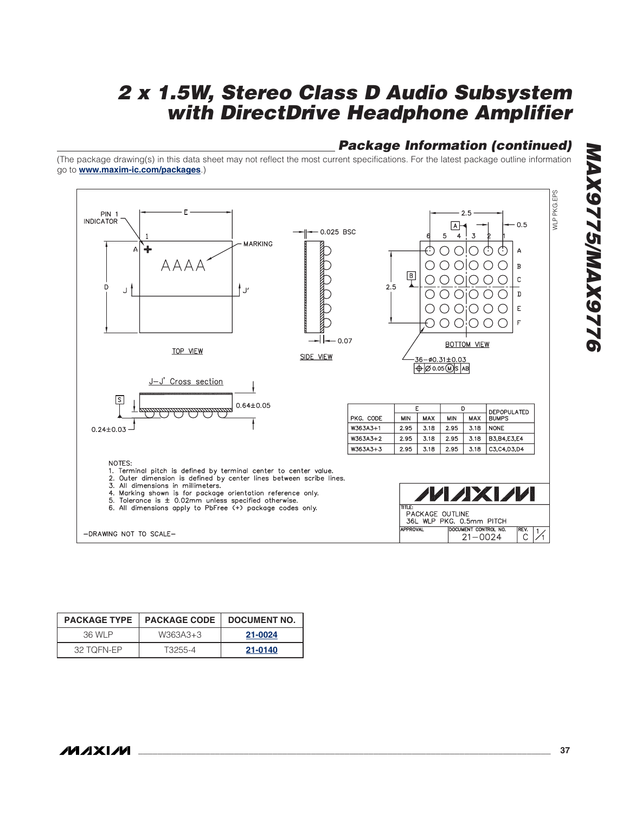## **Package Information (continued)**

(The package drawing(s) in this data sheet may not reflect the most current specifications. For the latest package outline information go to **www.maxim-ic.com/packages**.)

![](_page_36_Figure_3.jpeg)

| <b>PACKAGE TYPE</b> | <b>I PACKAGE CODE</b> | DOCUMENT NO. |
|---------------------|-----------------------|--------------|
| 36 WI P             | W363A3+3              | 21-0024      |
| 32 TOFN-EP          | T3255-4               | 21-0140      |